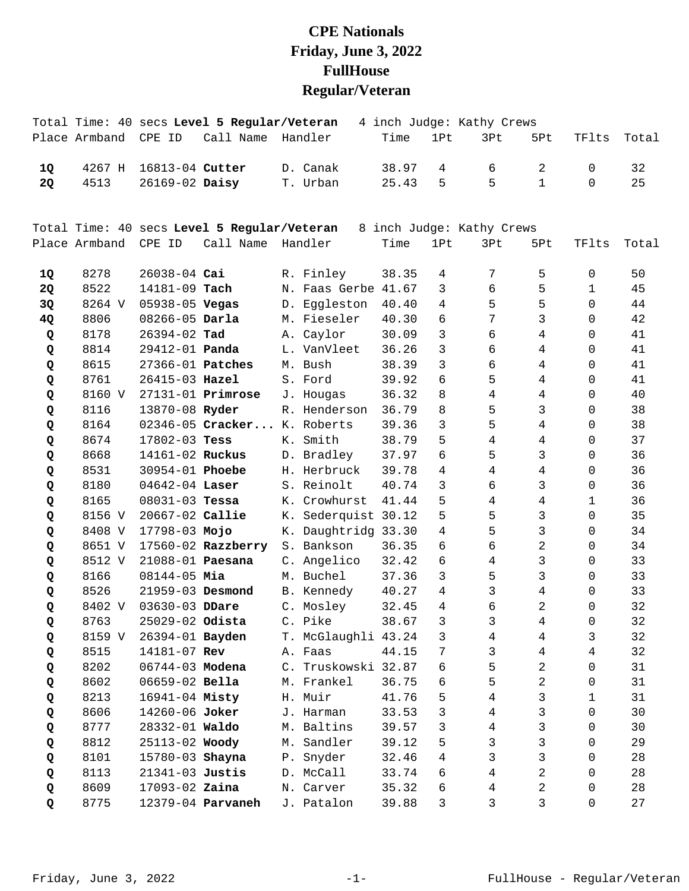## **CPE Nationals Friday, June 3, 2022 FullHouse Regular/Veteran**

|           | Total Time: 40 secs Level 5 Regular/Veteran |                       | 4 inch Judge: Kathy Crews                   |                     |       |              |                           |                 |                |       |
|-----------|---------------------------------------------|-----------------------|---------------------------------------------|---------------------|-------|--------------|---------------------------|-----------------|----------------|-------|
|           | Place Armband                               | CPE ID                | Call Name Handler                           |                     | Time  | 1Pt          | 3Pt                       | 5Pt             | TFlts          | Total |
| 1Q        | 4267 H                                      | 16813-04 Cutter       |                                             | D. Canak            | 38.97 | 4            | 6                         | 2               | 0              | 32    |
| <b>2Q</b> | 4513                                        | 26169-02 Daisy        |                                             | T. Urban            | 25.43 | 5            | 5                         | $\mathbf{1}$    | $\Omega$       | 25    |
|           |                                             |                       | Total Time: 40 secs Level 5 Regular/Veteran |                     |       |              | 8 inch Judge: Kathy Crews |                 |                |       |
|           | Place Armband                               | CPE ID                | Call Name Handler                           |                     | Time  | 1Pt          | 3Pt                       | 5Pt             | TFlts          | Total |
| 1Q        | 8278                                        | $26038 - 04$ Cai      |                                             | R. Finley           | 38.35 | 4            | 7                         | 5               | 0              | 50    |
| 2Q        | 8522                                        | 14181-09 Tach         |                                             | N. Faas Gerbe 41.67 |       | 3            | 6                         | 5               | 1              | 45    |
| 3Q        | 8264 V                                      | 05938-05 Vegas        |                                             | D. Eggleston        | 40.40 | 4            | 5                         | 5               | $\Omega$       | 44    |
| 4Q        | 8806                                        | 08266-05 Darla        |                                             | M. Fieseler         | 40.30 | $\sqrt{6}$   | $\overline{7}$            | $\mathsf{3}$    | $\mathbf 0$    | 42    |
| Q         | 8178                                        | 26394-02 Tad          |                                             | A. Caylor           | 30.09 | 3            | 6                         | $\overline{4}$  | 0              | 41    |
| Q         | 8814                                        | 29412-01 <b>Panda</b> |                                             | L. VanVleet         | 36.26 | 3            | 6                         | $\overline{4}$  | 0              | 41    |
| Q         | 8615                                        | 27366-01 Patches      |                                             | M. Bush             | 38.39 | 3            | 6                         | $\overline{4}$  | 0              | 41    |
| Q         | 8761                                        | 26415-03 Hazel        |                                             | S. Ford             | 39.92 | 6            | 5                         | $\overline{4}$  | $\mathbf 0$    | 41    |
| Q         | 8160 V                                      |                       | $27131 - 01$ Primrose                       | J. Hougas           | 36.32 | 8            | $\overline{4}$            | $\overline{4}$  | $\mathsf{O}$   | 40    |
| Q         | 8116                                        | 13870-08 Ryder        |                                             | R. Henderson        | 36.79 | 8            | 5                         | 3               | $\Omega$       | 38    |
| Q         | 8164                                        |                       | 02346-05 Cracker K. Roberts                 |                     | 39.36 | 3            | 5                         | $\overline{4}$  | 0              | 38    |
| Q         | 8674                                        | 17802-03 Tess         |                                             | K. Smith            | 38.79 | 5            | $\overline{4}$            | $\overline{4}$  | 0              | 37    |
| Q         | 8668                                        | 14161-02 Ruckus       |                                             | D. Bradley          | 37.97 | 6            | 5                         | 3               | 0              | 36    |
| Q         | 8531                                        | 30954-01 Phoebe       |                                             | H. Herbruck         | 39.78 | 4            | $\overline{4}$            | $\overline{4}$  | 0              | 36    |
| Q         | 8180                                        | $04642 - 04$ Laser    |                                             | S. Reinolt          | 40.74 | 3            | 6                         | 3               | 0              | 36    |
| Q         | 8165                                        | $08031 - 03$ Tessa    |                                             | K. Crowhurst        | 41.44 | 5            | $\overline{4}$            | $\overline{4}$  | 1              | 36    |
| Q         | 8156 V                                      | 20667-02 Callie       |                                             | K. Sederquist 30.12 |       | 5            | 5                         | $\mathbf{3}$    | $\mathbf 0$    | 35    |
| Q         | 8408 V                                      | 17798-03 Mojo         |                                             | K. Daughtridg 33.30 |       | 4            | 5                         | $\mathbf{3}$    | $\mathbf 0$    | 34    |
| Q         | 8651 V                                      |                       | $17560 - 02$ Razzberry                      | S. Bankson          | 36.35 | 6            | 6                         | $\overline{a}$  | $\mathbf 0$    | 34    |
| Q         | 8512 V                                      | 21088-01 Paesana      |                                             | C. Angelico         | 32.42 | 6            | $\overline{4}$            | $\mathfrak{Z}$  | 0              | 33    |
| Q         | 8166                                        | 08144-05 Mia          |                                             | M. Buchel           | 37.36 | $\mathbf{3}$ | 5                         | $\mathsf{3}$    | $\mathsf 0$    | 33    |
| Q         | 8526                                        | 21959-03 Desmond      |                                             | B. Kennedy          | 40.27 | 4            | $\mathsf{3}$              | $\overline{4}$  | $\mathbf 0$    | 33    |
| Q         | 8402 V                                      | 03630-03 DDare        |                                             | C. Mosley           | 32.45 | 4            | 6                         | $\overline{a}$  | $\Omega$       | 32    |
| Q         | 8763                                        | 25029-02 Odista       |                                             | C. Pike             | 38.67 | 3            | 3                         | $4\overline{ }$ | $\overline{0}$ | 32    |
| Q         | 8159 V                                      | 26394-01 Bayden       |                                             | T. McGlaughli 43.24 |       | 3            | 4                         | 4               | 3              | 32    |
| Q         | 8515                                        | 14181-07 Rev          |                                             | A. Faas             | 44.15 | 7            | $\mathbf{3}$              | $\overline{4}$  | $\overline{4}$ | 32    |
| Q         | 8202                                        | 06744-03 Modena       |                                             | C. Truskowski 32.87 |       | 6            | 5                         | $\overline{2}$  | 0              | 31    |
| Q         | 8602                                        | 06659-02 Bella        |                                             | M. Frankel          | 36.75 | 6            | 5                         | $\overline{2}$  | 0              | 31    |
| Q         | 8213                                        | 16941-04 Misty        |                                             | H. Muir             | 41.76 | 5            | 4                         | $\mathfrak{Z}$  | 1              | 31    |
| Q         | 8606                                        | 14260-06 Joker        |                                             | J. Harman           | 33.53 | 3            | $\overline{4}$            | $\mathbf{3}$    | 0              | 30    |
| Q         | 8777                                        | 28332-01 Waldo        |                                             | M. Baltins          | 39.57 | 3            | $\overline{4}$            | $\mathbf{3}$    | 0              | 30    |
| Q         | 8812                                        | 25113-02 Woody        |                                             | M. Sandler          | 39.12 | 5            | 3                         | 3               | 0              | 29    |
| Q         | 8101                                        | 15780-03 Shayna       |                                             | P. Snyder           | 32.46 | 4            | 3                         | $\mathbf{3}$    | 0              | 28    |
| Q         | 8113                                        | 21341-03 Justis       |                                             | D. McCall           | 33.74 | 6            | $\overline{4}$            | $\overline{c}$  | 0              | 28    |
| Q         | 8609                                        | 17093-02 Zaina        |                                             | N. Carver           | 35.32 | 6            | 4                         | $\overline{a}$  | 0              | 28    |
| Q         | 8775                                        |                       | 12379-04 <b>Parvaneh</b>                    | J. Patalon          | 39.88 | 3            | 3                         | 3               | 0              | 27    |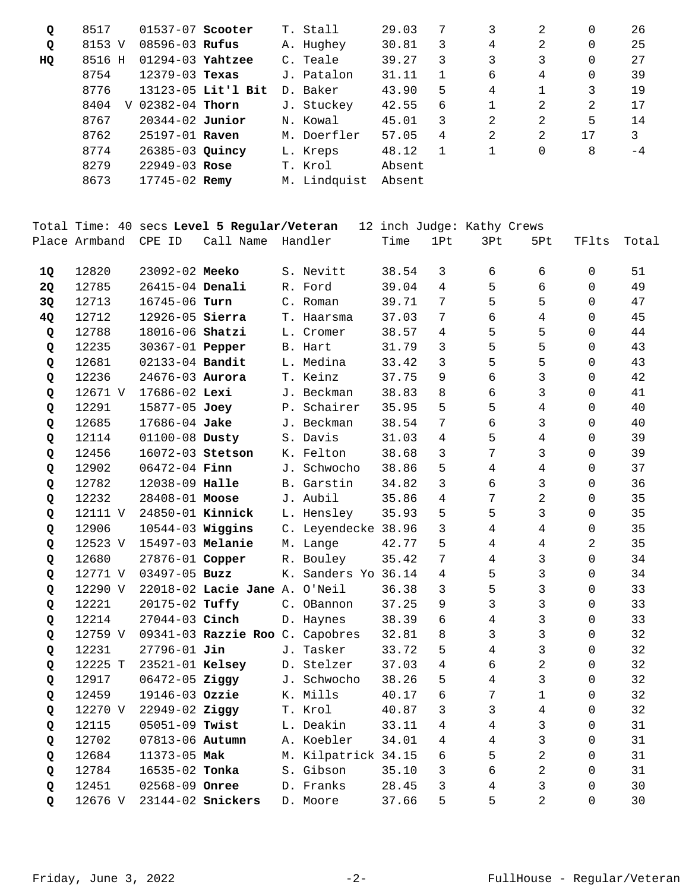| Q  | 8517      | $01537-07$ Scooter  |                    | T. Stall     | 29.03  |   | 3 | 2 | 0  | 26   |
|----|-----------|---------------------|--------------------|--------------|--------|---|---|---|----|------|
| Q  | 8153 V    | $08596 - 03$ Rufus  |                    | A. Hughey    | 30.81  | 3 | 4 | 2 | 0  | 25   |
| HQ | 8516 H    | $01294-03$ Yahtzee  |                    | C. Teale     | 39.27  | 3 | 3 | 3 | 0  | 27   |
|    | 8754      | $12379 - 03$ Texas  |                    | J. Patalon   | 31.11  |   | 6 | 4 | 0  | 39   |
|    | 8776      |                     | 13123-05 Lit'l Bit | D. Baker     | 43.90  | 5 | 4 |   | 3  | 19   |
|    | 8404<br>V | $02382 - 04$ Thorn  |                    | J. Stuckey   | 42.55  | 6 |   | 2 | 2  | 17   |
|    | 8767      | $20344 - 02$ Junior |                    | N. Kowal     | 45.01  | 3 | 2 | 2 | 5  | 14   |
|    | 8762      | $25197 - 01$ Raven  |                    | M. Doerfler  | 57.05  | 4 | 2 | 2 | 17 | 3    |
|    | 8774      | 26385-03 Quincy     |                    | L. Kreps     | 48.12  | 1 |   | 0 | 8  | $-4$ |
|    | 8279      | $22949 - 03$ Rose   |                    | T. Krol      | Absent |   |   |   |    |      |
|    | 8673      | 17745-02 Remy       |                    | M. Lindquist | Absent |   |   |   |    |      |

|           |               |                        | Total Time: 40 secs Level 5 Regular/Veteran |                     |       |                | 12 inch Judge: Kathy Crews |                |                     |       |
|-----------|---------------|------------------------|---------------------------------------------|---------------------|-------|----------------|----------------------------|----------------|---------------------|-------|
|           | Place Armband | CPE ID                 | Call Name Handler                           |                     | Time  | 1Pt            | 3Pt                        | 5Pt            | TFlts               | Total |
|           |               |                        |                                             |                     |       |                |                            |                |                     |       |
| 1Q        | 12820         | 23092-02 Meeko         |                                             | S. Nevitt           | 38.54 | 3              | 6                          | 6              | $\mathbf 0$         | 51    |
| <b>20</b> | 12785         | 26415-04 Denali        |                                             | R. Ford             | 39.04 | $\overline{4}$ | 5                          | 6              | $\Omega$            | 49    |
| 3Q        | 12713         | 16745-06 Turn          |                                             | C. Roman            | 39.71 | 7              | 5                          | 5              | $\Omega$            | 47    |
| 4Q        | 12712         | 12926-05 Sierra        |                                             | T. Haarsma          | 37.03 | 7              | 6                          | $\overline{4}$ | $\Omega$            | 45    |
| Q         | 12788         | 18016-06 Shatzi        |                                             | L. Cromer           | 38.57 | 4              | 5                          | 5              | $\Omega$            | 44    |
| Q         | 12235         | 30367-01 <b>Pepper</b> |                                             | B. Hart             | 31.79 | 3              | 5                          | 5              | $\Omega$            | 43    |
| Q         | 12681         | 02133-04 Bandit        |                                             | L. Medina           | 33.42 | $\overline{3}$ | 5                          | 5              | $\mathsf{O}$        | 43    |
| Q         | 12236         | 24676-03 Aurora        |                                             | T. Keinz            | 37.75 | 9              | 6                          | $\overline{3}$ | $\mathsf{O}$        | 42    |
| Q         | 12671 V       | 17686-02 Lexi          |                                             | J. Beckman          | 38.83 | 8              | 6                          | $\mathfrak{Z}$ | $\mathsf{O}$        | 41    |
| Q         | 12291         | 15877-05 Joey          |                                             | P. Schairer         | 35.95 | 5              | 5                          | $\overline{4}$ | $\mathbf 0$         | 40    |
| Q         | 12685         | 17686-04 Jake          |                                             | J. Beckman          | 38.54 | 7              | 6                          | $\mathfrak{Z}$ | $\mathbf 0$         | 40    |
| Q         | 12114         | 01100-08 Dusty         |                                             | S. Davis            | 31.03 | 4              | 5                          | 4              | $\mathbf 0$         | 39    |
| Q         | 12456         | 16072-03 Stetson       |                                             | K. Felton           | 38.68 | 3              | 7                          | $\mathfrak{Z}$ | $\mathbf 0$         | 39    |
| Q         | 12902         | 06472-04 Finn          |                                             | J. Schwocho         | 38.86 | 5              | 4                          | $\overline{4}$ | $\Omega$            | 37    |
| Q         | 12782         | 12038-09 Halle         |                                             | B. Garstin          | 34.82 | 3              | 6                          | $\mathfrak{Z}$ | $\Omega$            | 36    |
| Q         | 12232         | 28408-01 Moose         |                                             | J. Aubil            | 35.86 | 4              | 7                          | $\overline{a}$ | $\Omega$            | 35    |
| Q         | 12111 V       | 24850-01 Kinnick       |                                             | L. Hensley          | 35.93 | 5              | 5                          | $\mathbf{3}$   | $\Omega$            | 35    |
| Q         | 12906         | 10544-03 Wiggins       |                                             | C. Leyendecke 38.96 |       | 3              | $\overline{4}$             | 4              | $\Omega$            | 35    |
| Q         | 12523 V       | 15497-03 Melanie       |                                             | M. Lange            | 42.77 | 5              | $\overline{4}$             | $\overline{4}$ | 2                   | 35    |
| Q         | 12680         | 27876-01 Copper        |                                             | R. Bouley           | 35.42 | 7              | $\overline{4}$             | $\mathbf{3}$   | $\Omega$            | 34    |
| Q         | 12771 V       | 03497-05 Buzz          |                                             | K. Sanders Yo 36.14 |       | $\overline{4}$ | 5                          | $\mathbf{3}$   | $\Omega$            | 34    |
| Q         | 12290 V       |                        | 22018-02 Lacie Jane A. O'Neil               |                     | 36.38 | 3              | 5                          | $\mathbf{3}$   | $\mathsf{O}$        | 33    |
| Q         | 12221         | 20175-02 Tuffy         |                                             | C. OBannon          | 37.25 | 9              | $\mathfrak{Z}$             | $\mathfrak{Z}$ | $\mathsf{O}\xspace$ | 33    |
| Q         | 12214         | 27044-03 Cinch         |                                             | D. Haynes           | 38.39 | 6              | $\overline{4}$             | $\overline{3}$ | $\mathsf{O}$        | 33    |
| Q         | 12759 V       |                        | 09341-03 Razzie Roo C. Capobres             |                     | 32.81 | 8              | 3                          | $\mathfrak{Z}$ | $\mathbf 0$         | 32    |
| Q         | 12231         | $27796 - 01$ Jin       |                                             | J. Tasker           | 33.72 | 5              | 4                          | $\mathfrak{Z}$ | $\mathbf 0$         | 32    |
| Q         | 12225 T       | 23521-01 Kelsey        |                                             | D. Stelzer          | 37.03 | 4              | 6                          | $\overline{a}$ | $\mathbf 0$         | 32    |
| Q         | 12917         | 06472-05 Ziggy         |                                             | J. Schwocho         | 38.26 | 5              | 4                          | $\mathfrak{Z}$ | $\mathbf 0$         | 32    |
| Q         | 12459         | 19146-03 Ozzie         |                                             | K. Mills            | 40.17 | 6              | 7                          | $\mathbf{1}$   | $\mathbf 0$         | 32    |
| Q         | 12270 V       | 22949-02 Ziggy         |                                             | T. Krol             | 40.87 | 3              | $\mathfrak{Z}$             | 4              | $\mathbf 0$         | 32    |
| Q         | 12115         | 05051-09 Twist         |                                             | L. Deakin           | 33.11 | 4              | 4                          | $\mathfrak{Z}$ | $\Omega$            | 31    |
| Q         | 12702         | 07813-06 Autumn        |                                             | A. Koebler          | 34.01 | 4              | $\overline{4}$             | $\mathfrak{Z}$ | $\Omega$            | 31    |
| Q         | 12684         | 11373-05 Mak           |                                             | M. Kilpatrick 34.15 |       | 6              | 5                          | $\overline{a}$ | $\mathsf{O}$        | 31    |
| Q         | 12784         | 16535-02 Tonka         |                                             | S. Gibson           | 35.10 | 3              | 6                          | $\overline{a}$ | $\mathbf 0$         | 31    |
| Q         | 12451         | 02568-09 Onree         |                                             | D. Franks           | 28.45 | $\overline{3}$ | $\overline{4}$             | $\overline{3}$ | $\mathbf 0$         | 30    |
| Q         | 12676 V       |                        | 23144-02 Snickers                           | D. Moore            | 37.66 | 5              | 5                          | 2              | $\Omega$            | 30    |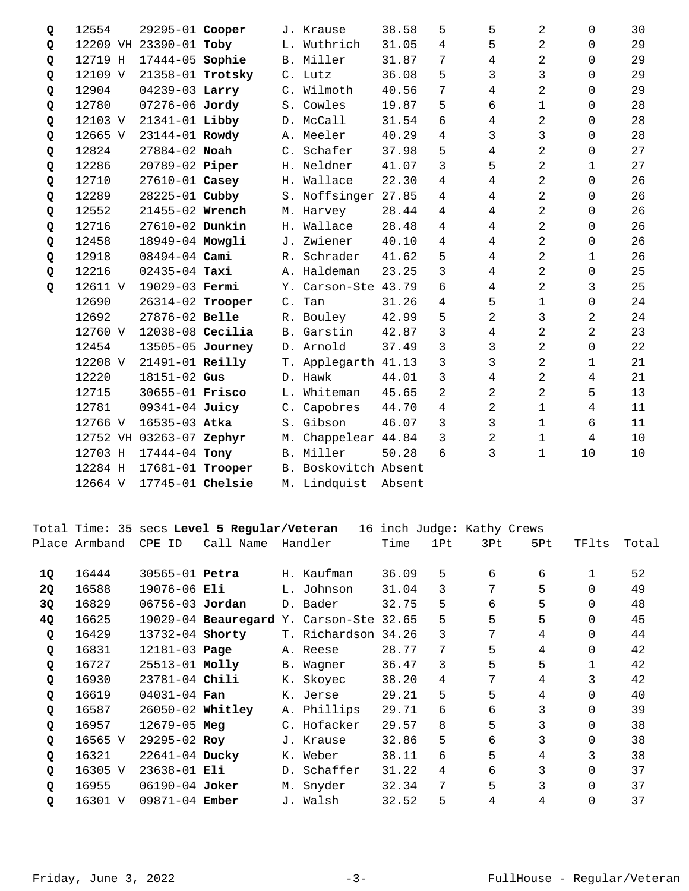| Q | 12554   | 29295-01 Cooper          |           | J. Krause           | 38.58  | 5              | 5              | 2              | $\Omega$       | 30 |
|---|---------|--------------------------|-----------|---------------------|--------|----------------|----------------|----------------|----------------|----|
| Q |         | 12209 VH 23390-01 Toby   |           | L. Wuthrich         | 31.05  | 4              | 5              | 2              | $\mathbf 0$    | 29 |
| Q | 12719 H | 17444-05 Sophie          |           | B. Miller           | 31.87  | 7              | 4              | 2              | $\Omega$       | 29 |
| Q | 12109 V | 21358-01 Trotsky         |           | C. Lutz             | 36.08  | 5              | 3              | 3              | 0              | 29 |
| Q | 12904   | 04239-03 Larry           |           | C. Wilmoth          | 40.56  | 7              | $\overline{4}$ | 2              | $\Omega$       | 29 |
| Q | 12780   | 07276-06 Jordy           |           | S. Cowles           | 19.87  | 5              | б              | $\mathbf 1$    | $\Omega$       | 28 |
| Q | 12103 V | 21341-01 Libby           |           | D. McCall           | 31.54  | 6              | 4              | 2              | $\mathbf 0$    | 28 |
| Q | 12665 V | 23144-01 Rowdy           |           | A. Meeler           | 40.29  | 4              | 3              | 3              | $\Omega$       | 28 |
| Q | 12824   | 27884-02 Noah            |           | C. Schafer          | 37.98  | 5              | 4              | $\overline{2}$ | 0              | 27 |
| Q | 12286   | 20789-02 Piper           |           | H. Neldner          | 41.07  | 3              | 5              | $\overline{2}$ | $\mathbf{1}$   | 27 |
| Q | 12710   | 27610-01 Casey           |           | H. Wallace          | 22.30  | 4              | 4              | 2              | $\Omega$       | 26 |
| Q | 12289   | 28225-01 Cubby           |           | S. Noffsinger 27.85 |        | $\overline{4}$ | 4              | 2              | $\mathbf 0$    | 26 |
| Q | 12552   | 21455-02 Wrench          | М.        | Harvey              | 28.44  | 4              | 4              | $\overline{2}$ | $\Omega$       | 26 |
| Q | 12716   | 27610-02 Dunkin          |           | H. Wallace          | 28.48  | 4              | 4              | 2              | 0              | 26 |
| Q | 12458   | 18949-04 Mowgli          |           | J. Zwiener          | 40.10  | 4              | $\overline{4}$ | $\overline{2}$ | $\Omega$       | 26 |
| Q | 12918   | 08494-04 Cami            |           | R. Schrader         | 41.62  | 5              | $\overline{4}$ | 2              | 1              | 26 |
| Q | 12216   | $02435 - 04$ Taxi        |           | A. Haldeman         | 23.25  | 3              | 4              | $\overline{2}$ | 0              | 25 |
| Q | 12611 V | 19029-03 Fermi           |           | Y. Carson-Ste 43.79 |        | 6              | 4              | 2              | 3              | 25 |
|   | 12690   | 26314-02 Trooper         |           | C. Tan              | 31.26  | 4              | 5              | $\mathbf 1$    | $\mathbf 0$    | 24 |
|   | 12692   | 27876-02 Belle           |           | R. Bouley           | 42.99  | 5              | $\overline{2}$ | 3              | 2              | 24 |
|   | 12760 V | $12038-08$ Cecilia       |           | B. Garstin          | 42.87  | 3              | 4              | 2              | 2              | 23 |
|   | 12454   | 13505-05 Journey         |           | D. Arnold           | 37.49  | $\mathbf{3}$   | 3              | $\overline{2}$ | $\Omega$       | 22 |
|   | 12208 V | 21491-01 Reilly          |           | T. Applegarth 41.13 |        | 3              | 3              | 2              | 1              | 21 |
|   | 12220   | 18151-02 Gus             |           | D. Hawk             | 44.01  | $\mathfrak{Z}$ | $\overline{4}$ | $\overline{2}$ | 4              | 21 |
|   | 12715   | 30655-01 Frisco          | $L$ .     | Whiteman            | 45.65  | 2              | $\overline{2}$ | 2              | 5              | 13 |
|   | 12781   | 09341-04 Juicy           |           | C. Capobres         | 44.70  | $\overline{4}$ | 2              | $\mathbf{1}$   | 4              | 11 |
|   | 12766 V | 16535-03 Atka            |           | S. Gibson           | 46.07  | 3              | 3              | $\mathbf 1$    | 6              | 11 |
|   |         | 12752 VH 03263-07 Zephyr |           | M. Chappelear 44.84 |        | 3              | 2              | 1              | $\overline{4}$ | 10 |
|   | 12703 H | 17444-04 Tony            |           | B. Miller           | 50.28  | 6              | 3              | $\mathbf 1$    | 10             | 10 |
|   | 12284 H | 17681-01 Trooper         | <b>B.</b> | Boskovitch Absent   |        |                |                |                |                |    |
|   | 12664 V | 17745-01 Chelsie         |           | M. Lindquist        | Absent |                |                |                |                |    |

|           |               |                       | Total Time: 35 secs Level 5 Regular/Veteran |                     |       | 16 inch Judge: Kathy Crews |     |     |          |       |
|-----------|---------------|-----------------------|---------------------------------------------|---------------------|-------|----------------------------|-----|-----|----------|-------|
|           | Place Armband | CPE ID                | Call Name                                   | Handler             | Time  | 1Pt                        | 3Pt | 5Pt | TFlts    | Total |
| 1Q        | 16444         | 30565-01 <b>Petra</b> |                                             | H. Kaufman          | 36.09 | 5                          | 6   | 6   |          | 52    |
| <b>2Q</b> | 16588         | 19076-06 Eli          |                                             | L. Johnson          | 31.04 | 3                          | 7   | 5   | $\Omega$ | 49    |
| 3Q        | 16829         | 06756-03 Jordan       |                                             | D. Bader            | 32.75 | 5                          | 6   | 5   | $\Omega$ | 48    |
| 4Q        | 16625         |                       | 19029-04 Beauregard Y. Carson-Ste 32.65     |                     |       | 5                          | 5   | 5   | $\Omega$ | 45    |
| Q         | 16429         | 13732-04 Shorty       |                                             | T. Richardson 34.26 |       | 3                          | 7   | 4   | $\Omega$ | 44    |
| Q         | 16831         | 12181-03 Page         |                                             | A. Reese            | 28.77 | 7                          | 5   | 4   | $\Omega$ | 42    |
| Q         | 16727         | 25513-01 Molly        |                                             | B. Wagner           | 36.47 | 3                          | 5   | 5   | 1        | 42    |
| Q         | 16930         | 23781-04 Chili        |                                             | K. Skovec           | 38.20 | 4                          | 7   | 4   | 3        | 42    |
| Q         | 16619         | $04031 - 04$ Fan      |                                             | K. Jerse            | 29.21 | 5                          | 5   | 4   | $\Omega$ | 40    |
| Q         | 16587         | $26050 - 02$ Whitley  |                                             | A. Phillips         | 29.71 | 6                          | 6   | 3   | 0        | 39    |
| Q         | 16957         | $12679 - 05$ Meg      |                                             | C. Hofacker         | 29.57 | 8                          | 5   | 3   | $\Omega$ | 38    |
| Q         | 16565 V       | 29295-02 Roy          |                                             | J. Krause           | 32.86 | 5                          | 6   | 3   | $\Omega$ | 38    |
| Q         | 16321         | 22641-04 Ducky        |                                             | K. Weber            | 38.11 | 6                          | 5   | 4   | 3        | 38    |
| Q         | 16305 V       | $23638 - 01$ Eli      |                                             | D. Schaffer         | 31.22 | 4                          | 6   | 3   | $\Omega$ | 37    |
| Q         | 16955         | $06190 - 04$ Joker    |                                             | M. Snyder           | 32.34 | 7                          | 5   | 3   | $\Omega$ | 37    |
| Q         | 16301 V       | $09871 - 04$ Ember    |                                             | J. Walsh            | 32.52 | 5                          | 4   | 4   | $\Omega$ | 37    |
|           |               |                       |                                             |                     |       |                            |     |     |          |       |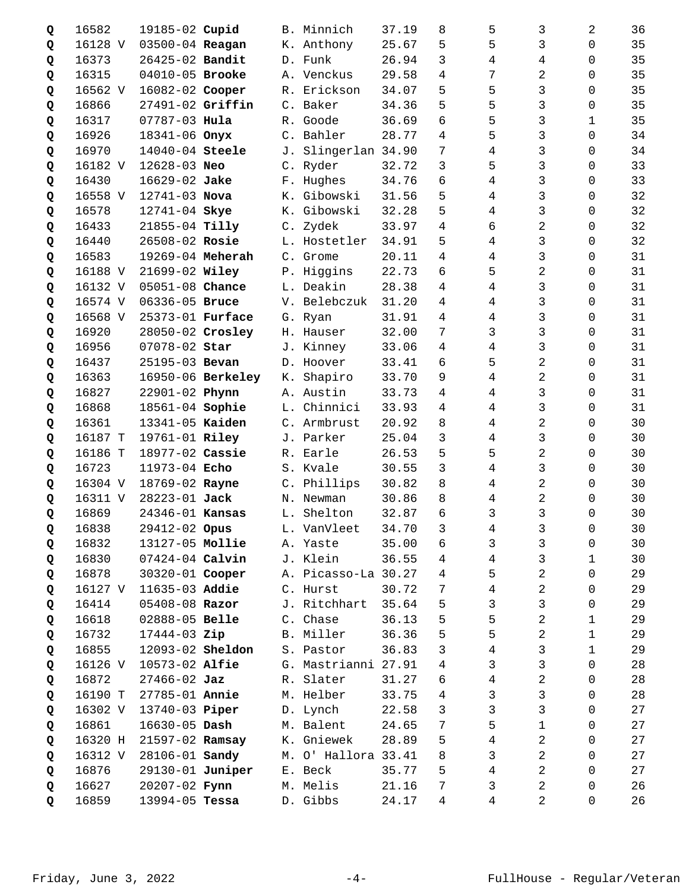| Q | 16582   | 19185-02 Cupid    |                   |                | B. Minnich          | 37.19 | 8              | 5              | 3              | 2                   | 36 |
|---|---------|-------------------|-------------------|----------------|---------------------|-------|----------------|----------------|----------------|---------------------|----|
| Q | 16128 V | 03500-04 Reagan   |                   |                | K. Anthony          | 25.67 | 5              | 5              | 3              | $\Omega$            | 35 |
| Q | 16373   | 26425-02 Bandit   |                   |                | D. Funk             | 26.94 | 3              | 4              | 4              | 0                   | 35 |
| Q | 16315   | 04010-05 Brooke   |                   |                | A. Venckus          | 29.58 | 4              | 7              | 2              | 0                   | 35 |
| Q | 16562 V | 16082-02 Cooper   |                   |                | R. Erickson         | 34.07 | 5              | 5              | 3              | 0                   | 35 |
| Q | 16866   | 27491-02 Griffin  |                   |                | C. Baker            | 34.36 | 5              | 5              | 3              | 0                   | 35 |
| Q | 16317   | $07787 - 03$ Hula |                   | R.             | Goode               | 36.69 | 6              | 5              | 3              | 1                   | 35 |
| Q | 16926   | 18341-06 Onyx     |                   |                | C. Bahler           | 28.77 | 4              | 5              | 3              | 0                   | 34 |
| Q | 16970   | 14040-04 Steele   |                   |                | J. Slingerlan 34.90 |       | 7              | 4              | 3              | 0                   | 34 |
| Q | 16182 V | 12628-03 Neo      |                   |                | C. Ryder            | 32.72 | 3              | 5              | 3              | $\Omega$            | 33 |
| Q | 16430   | 16629-02 Jake     |                   |                | F. Hughes           | 34.76 | 6              | 4              | 3              | $\Omega$            | 33 |
| Q | 16558 V | 12741-03 Nova     |                   |                | K. Gibowski         | 31.56 | 5              | 4              | 3              | 0                   | 32 |
| Q | 16578   | 12741-04 Skye     |                   |                | K. Gibowski         | 32.28 | 5              | 4              | 3              | $\mathbf 0$         | 32 |
| Q | 16433   | 21855-04 Tilly    |                   | $\mathsf{C}$ . | Zydek               | 33.97 | 4              | б              | $\overline{2}$ | $\Omega$            | 32 |
| Q | 16440   | 26508-02 Rosie    |                   |                | L. Hostetler        | 34.91 | 5              | 4              | 3              | $\Omega$            | 32 |
| Q | 16583   | 19269-04 Meherah  |                   |                | C. Grome            | 20.11 | 4              | 4              | 3              | 0                   | 31 |
| Q | 16188 V | 21699-02 Wiley    |                   |                | P. Higgins          | 22.73 | 6              | 5              | 2              | $\mathbf 0$         | 31 |
| Q | 16132 V | 05051-08 Chance   |                   |                | L. Deakin           | 28.38 | 4              | $\overline{4}$ | 3              | $\Omega$            | 31 |
| Q | 16574 V | 06336-05 Bruce    |                   | V.             | Belebczuk           | 31.20 | 4              | 4              | 3              | $\Omega$            | 31 |
| Q | 16568 V | 25373-01 Furface  |                   |                | G. Ryan             | 31.91 | 4              | 4              | 3              | 0                   | 31 |
| Q | 16920   | 28050-02 Crosley  |                   |                | H. Hauser           | 32.00 | 7              | 3              | 3              | 0                   | 31 |
| Q | 16956   | 07078-02 Star     |                   |                | J. Kinney           | 33.06 | 4              | 4              | 3              | 0                   | 31 |
| Q | 16437   | 25195-03 Bevan    |                   | D.             | Hoover              | 33.41 | 6              | 5              | 2              | $\Omega$            | 31 |
| Q | 16363   |                   | 16950-06 Berkeley | К.             | Shapiro             | 33.70 | 9              | 4              | 2              | 0                   | 31 |
| Q | 16827   | 22901-02 Phynn    |                   |                | A. Austin           | 33.73 | 4              | 4              | 3              | $\mathbf 0$         | 31 |
| Q | 16868   | 18561-04 Sophie   |                   |                | L. Chinnici         | 33.93 | 4              | 4              | 3              | 0                   | 31 |
| Q | 16361   | 13341-05 Kaiden   |                   |                | C. Armbrust         | 20.92 | 8              | 4              | 2              | $\Omega$            | 30 |
| Q | 16187 T | 19761-01 Riley    |                   |                | J. Parker           | 25.04 | 3              | 4              | 3              | 0                   | 30 |
| Q | 16186 T | 18977-02 Cassie   |                   |                | R. Earle            | 26.53 | 5              | 5              | 2              | 0                   | 30 |
| Q | 16723   | 11973-04 Echo     |                   |                | S. Kvale            | 30.55 | 3              | 4              | 3              | 0                   | 30 |
| Q | 16304 V | 18769-02 Rayne    |                   | $C_{\bullet}$  | Phillips            | 30.82 | 8              | 4              | 2              | 0                   | 30 |
| Q | 16311 V | 28223-01 Jack     |                   |                | N. Newman           | 30.86 | 8              | 4              | 2              | 0                   | 30 |
| Q | 16869   | 24346-01 Kansas   |                   |                | L. Shelton          | 32.87 | 6              | 3              | 3              | 0                   | 30 |
| Q | 16838   | 29412-02 Opus     |                   |                | L. VanVleet         | 34.70 | $\mathbf{3}$   | $\overline{4}$ | $\mathsf{3}$   | $\mathsf{O}\xspace$ | 30 |
| Q | 16832   | 13127-05 Mollie   |                   |                | A. Yaste            | 35.00 | 6              | 3              | 3              | 0                   | 30 |
| Q | 16830   | 07424-04 Calvin   |                   |                | J. Klein            | 36.55 | 4              | 4              | 3              | 1                   | 30 |
| Q | 16878   | 30320-01 Cooper   |                   |                | A. Picasso-La 30.27 |       | 4              | 5              | 2              | $\mathbf 0$         | 29 |
| Q | 16127 V | 11635-03 Addie    |                   |                | C. Hurst            | 30.72 | 7              | $\overline{4}$ | 2              | $\mathsf{O}$        | 29 |
| Q | 16414   | 05408-08 Razor    |                   |                | J. Ritchhart        | 35.64 | 5              | 3              | 3              | $\mathbf 0$         | 29 |
| Q | 16618   | 02888-05 Belle    |                   |                | C. Chase            | 36.13 | 5              | 5              | $\overline{2}$ | $\mathbf 1$         | 29 |
| Q | 16732   | 17444-03 Zip      |                   |                | B. Miller           | 36.36 | 5              | 5              | 2              | 1                   | 29 |
| Q | 16855   | 12093-02 Sheldon  |                   |                | S. Pastor           | 36.83 | 3              | 4              | 3              | $\mathbf{1}$        | 29 |
| Q | 16126 V | 10573-02 Alfie    |                   |                | G. Mastrianni 27.91 |       | 4              | 3              | 3              | $\mathbf 0$         | 28 |
| Q | 16872   | $27466 - 02$ Jaz  |                   |                | R. Slater           | 31.27 | 6              | 4              | 2              | $\mathsf{O}$        | 28 |
| Q | 16190 T | 27785-01 Annie    |                   |                | M. Helber           | 33.75 | 4              | 3              | 3              | $\mathbf 0$         | 28 |
| Q | 16302 V | 13740-03 Piper    |                   |                | D. Lynch            | 22.58 | 3              | 3              | 3              | $\mathsf 0$         | 27 |
| Q | 16861   | $16630 - 05$ Dash |                   |                | M. Balent           | 24.65 | $\overline{7}$ | 5              | $\mathbf 1$    | 0                   | 27 |
| Q | 16320 H | 21597-02 Ramsay   |                   |                | K. Gniewek          | 28.89 | 5              | 4              | $\overline{2}$ | $\mathbf 0$         | 27 |
| Q | 16312 V | 28106-01 Sandy    |                   |                | M. O' Hallora 33.41 |       | 8              | 3              | 2              | $\mathbf 0$         | 27 |
| Q | 16876   | 29130-01 Juniper  |                   |                | E. Beck             | 35.77 | 5              | 4              | 2              | 0                   | 27 |
| Q | 16627   | 20207-02 Fynn     |                   |                | M. Melis            | 21.16 | $\overline{7}$ | 3              | 2              | 0                   | 26 |
| Q | 16859   | 13994-05 Tessa    |                   |                | D. Gibbs            | 24.17 | $\overline{4}$ | 4              | 2              | 0                   | 26 |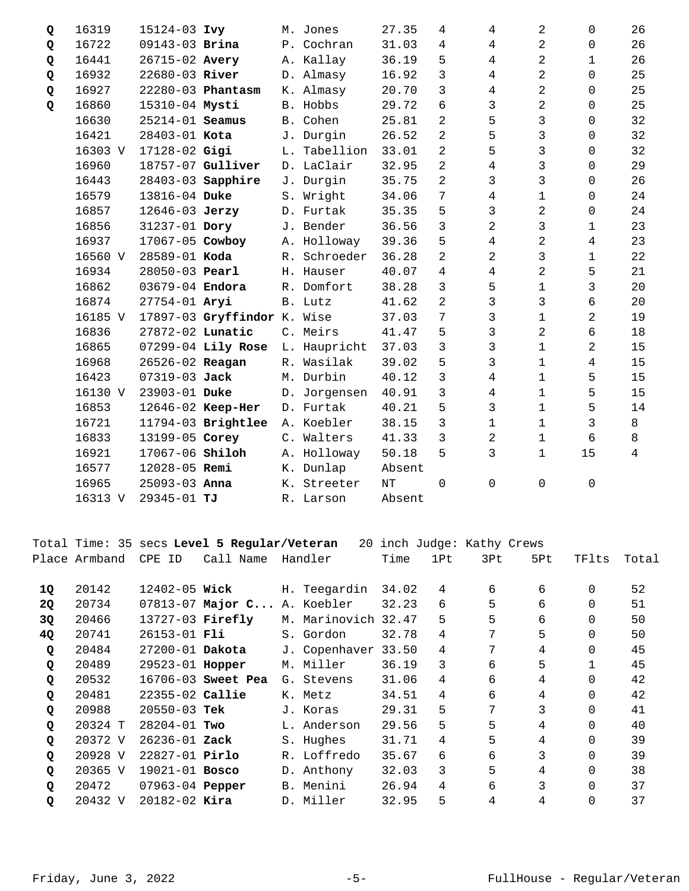| Q | 16319   | 15124-03 Ivy     |                             |               | M. Jones     | 27.35  | 4              | 4              | 2              | $\Omega$       | 26 |
|---|---------|------------------|-----------------------------|---------------|--------------|--------|----------------|----------------|----------------|----------------|----|
| Q | 16722   | 09143-03 Brina   |                             |               | P. Cochran   | 31.03  | 4              | 4              | 2              | 0              | 26 |
| Q | 16441   | 26715-02 Avery   |                             |               | A. Kallay    | 36.19  | 5              | $\overline{4}$ | 2              | $\mathbf 1$    | 26 |
| Q | 16932   | 22680-03 River   |                             |               | D. Almasy    | 16.92  | 3              | $\overline{4}$ | 2              | $\Omega$       | 25 |
| Q | 16927   |                  | 22280-03 Phantasm           |               | K. Almasy    | 20.70  | 3              | 4              | 2              | $\Omega$       | 25 |
| Q | 16860   | 15310-04 Mysti   |                             |               | B. Hobbs     | 29.72  | 6              | $\mathbf{3}$   | 2              | $\Omega$       | 25 |
|   | 16630   | 25214-01 Seamus  |                             |               | B. Cohen     | 25.81  | 2              | 5              | 3              | $\Omega$       | 32 |
|   | 16421   | 28403-01 Kota    |                             |               | J. Durgin    | 26.52  | 2              | 5              | 3              | $\mathbf 0$    | 32 |
|   | 16303 V | 17128-02 Gigi    |                             |               | L. Tabellion | 33.01  | 2              | 5              | 3              | $\Omega$       | 32 |
|   | 16960   |                  | 18757-07 Gulliver           |               | D. LaClair   | 32.95  | 2              | 4              | 3              | $\Omega$       | 29 |
|   | 16443   |                  | 28403-03 Sapphire           | J.            | Durgin       | 35.75  | 2              | 3              | 3              | $\mathbf 0$    | 26 |
|   | 16579   | 13816-04 Duke    |                             |               | S. Wright    | 34.06  | 7              | 4              | $\mathbf 1$    | $\Omega$       | 24 |
|   | 16857   | 12646-03 Jerzy   |                             |               | D. Furtak    | 35.35  | 5              | $\mathbf{3}$   | 2              | $\Omega$       | 24 |
|   | 16856   | 31237-01 Dory    |                             |               | J. Bender    | 36.56  | 3              | 2              | 3              | 1              | 23 |
|   | 16937   | 17067-05 Cowboy  |                             |               | A. Holloway  | 39.36  | 5              | 4              | 2              | 4              | 23 |
|   | 16560 V | 28589-01 Koda    |                             | $R_{\odot}$   | Schroeder    | 36.28  | 2              | 2              | 3              | 1              | 22 |
|   | 16934   | 28050-03 Pearl   |                             |               | H. Hauser    | 40.07  | 4              | 4              | $\overline{2}$ | 5              | 21 |
|   | 16862   | 03679-04 Endora  |                             |               | R. Domfort   | 38.28  | 3              | 5              | $\mathbf 1$    | $\mathfrak{Z}$ | 20 |
|   | 16874   | 27754-01 Aryi    |                             |               | B. Lutz      | 41.62  | 2              | 3              | 3              | 6              | 20 |
|   | 16185 V |                  | 17897-03 Gryffindor K. Wise |               |              | 37.03  | 7              | 3              | $\mathbf 1$    | $\overline{2}$ | 19 |
|   | 16836   | 27872-02 Lunatic |                             |               | C. Meirs     | 41.47  | 5              | 3              | 2              | 6              | 18 |
|   | 16865   |                  | 07299-04 Lily Rose          |               | L. Haupricht | 37.03  | $\overline{3}$ | 3              | $\mathbf 1$    | $\overline{2}$ | 15 |
|   | 16968   | 26526-02 Reagan  |                             |               | R. Wasilak   | 39.02  | 5              | 3              | $\mathbf 1$    | 4              | 15 |
|   | 16423   | 07319-03 Jack    |                             |               | M. Durbin    | 40.12  | $\mathfrak{Z}$ | 4              | $\mathbf{1}$   | 5              | 15 |
|   | 16130 V | 23903-01 Duke    |                             | D.            | Jorgensen    | 40.91  | $\overline{3}$ | 4              | $\mathbf 1$    | 5              | 15 |
|   | 16853   |                  | 12646-02 Keep-Her           |               | D. Furtak    | 40.21  | 5              | 3              | $\mathbf{1}$   | 5              | 14 |
|   | 16721   |                  | 11794-03 Brightlee          |               | A. Koebler   | 38.15  | 3              | 1              | $\mathbf 1$    | 3              | 8  |
|   | 16833   | 13199-05 Corey   |                             | $C_{\bullet}$ | Walters      | 41.33  | $\overline{3}$ | $\overline{2}$ | $\mathbf 1$    | 6              | 8  |
|   | 16921   | 17067-06 Shiloh  |                             | Α.            | Holloway     | 50.18  | 5              | 3              | $\mathbf{1}$   | 15             | 4  |
|   | 16577   | 12028-05 Remi    |                             |               | K. Dunlap    | Absent |                |                |                |                |    |
|   | 16965   | 25093-03 Anna    |                             |               | K. Streeter  | NT     | $\Omega$       | 0              | $\Omega$       | $\mathbf 0$    |    |
|   | 16313 V | 29345-01 TJ      |                             |               | R. Larson    | Absent |                |                |                |                |    |

Total Time: 35 secs **Level 5 Regular/Veteran** 20 inch Judge: Kathy Crews Place Armband CPE ID Call Name Handler Time 1Pt 3Pt 5Pt TFlts Total 20142 12402-05 H. Teegardin 34.02 4 6 6 0 52 **1Q Wick**  20<sub>2</sub> 20734 07813-07 Major C... A. Koebler 32.23 6 5 6 0 51 20466 13727-03 M. Marinovich 32.47 5 5 6 0 50 **3Q Firefly**  20741 26153-01 S. Gordon 32.78 4 7 5 0 50 **4Q Fli**  20484 27200-01 J. Copenhaver 33.50 4 7 4 0 45 **Q Dakota**  20489 29523-01 M. Miller 36.19 3 6 5 1 45 **Q Hopper**  20532 16706-03 G. Stevens 31.06 4 6 4 0 42 **Q Sweet Pea**  20481 22355-02 K. Metz 34.51 4 6 4 0 42 **Q Callie**  20988 20550-03 J. Koras 29.31 5 7 3 0 41 **Q Tek**  20324 T 28204-01 L. Anderson 29.56 5 5 4 0 40 **Q Two**  20372 V 26236-01 S. Hughes 31.71 4 5 4 0 39 **Q Zack**  20928 V 22827-01 R. Loffredo 35.67 6 6 3 0 39 **Q Pirlo**  20365 V 19021-01 D. Anthony 32.03 3 5 4 0 38 **Q Bosco**  20472 07963-04 B. Menini 26.94 4 6 3 0 37 **Q Pepper**  20432 V 20182-02 D. Miller 32.95 5 4 4 0 37 **Q Kira**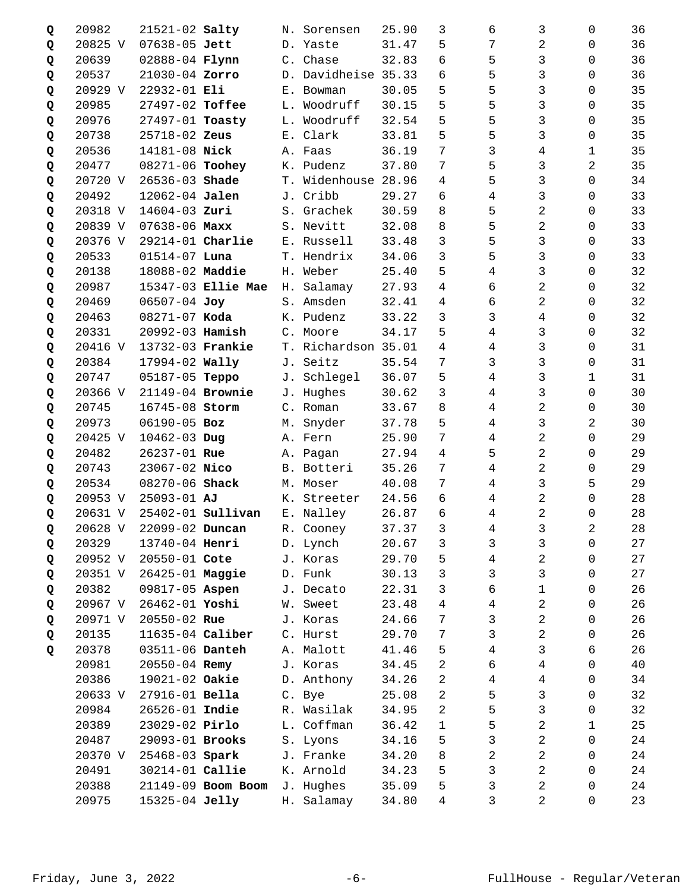| Q | 20982   | 21521-02 Salty          |                          |             | N. Sorensen         | 25.90 | 3              | 6 | 3              | 0            | 36 |
|---|---------|-------------------------|--------------------------|-------------|---------------------|-------|----------------|---|----------------|--------------|----|
| Q | 20825 V | 07638-05 Jett           |                          |             | D. Yaste            | 31.47 | 5              | 7 | 2              | 0            | 36 |
| Q | 20639   | 02888-04 Flynn          |                          |             | C. Chase            | 32.83 | 6              | 5 | 3              | 0            | 36 |
| Q | 20537   | 21030-04 Zorro          |                          |             | D. Davidheise 35.33 |       | 6              | 5 | 3              | 0            | 36 |
| Q | 20929 V | 22932-01 Eli            |                          |             | E. Bowman           | 30.05 | 5              | 5 | 3              | 0            | 35 |
| Q | 20985   | 27497-02 Toffee         |                          | L.          | Woodruff            | 30.15 | 5              | 5 | 3              | 0            | 35 |
| Q | 20976   | 27497-01 Toasty         |                          |             | L. Woodruff         | 32.54 | 5              | 5 | 3              | $\Omega$     | 35 |
| Q | 20738   | 25718-02 Zeus           |                          |             | E. Clark            | 33.81 | 5              | 5 | 3              | 0            | 35 |
| Q | 20536   | 14181-08 Nick           |                          |             | A. Faas             | 36.19 | 7              | 3 | 4              | 1            | 35 |
| Q | 20477   | 08271-06 Toohey         |                          | К.          | Pudenz              | 37.80 | 7              | 5 | 3              | 2            | 35 |
| Q | 20720 V | 26536-03 Shade          |                          |             | T. Widenhouse 28.96 |       | 4              | 5 | 3              | $\Omega$     | 34 |
| Q | 20492   | 12062-04 Jalen          |                          |             | J. Cribb            | 29.27 | 6              | 4 | 3              | 0            | 33 |
| Q | 20318 V | 14604-03 Zuri           |                          |             | S. Grachek          | 30.59 | 8              | 5 | 2              | 0            | 33 |
| Q | 20839 V | $07638 - 06$ Maxx       |                          | S.          | Nevitt              | 32.08 | 8              | 5 | $\overline{2}$ | $\Omega$     | 33 |
| Q | 20376 V | 29214-01 Charlie        |                          | $E_{\perp}$ | Russell             | 33.48 | 3              | 5 | 3              | $\Omega$     | 33 |
| Q | 20533   | $01514 - 07$ Luna       |                          |             | T. Hendrix          | 34.06 | 3              | 5 | 3              | 0            | 33 |
| Q | 20138   | 18088-02 Maddie         |                          |             | H. Weber            | 25.40 | 5              | 4 | 3              | $\mathbf 0$  | 32 |
| Q | 20987   |                         | 15347-03 Ellie Mae       | Н.          | Salamay             | 27.93 | 4              | 6 | 2              | $\Omega$     | 32 |
| Q | 20469   | 06507-04 Joy            |                          | S.          | Amsden              | 32.41 | 4              | 6 | 2              | $\Omega$     | 32 |
| Q | 20463   | 08271-07 Koda           |                          |             | K. Pudenz           | 33.22 | 3              | 3 | 4              | 0            | 32 |
| Q | 20331   | 20992-03 Hamish         |                          |             | C. Moore            | 34.17 | 5              | 4 | 3              | 0            | 32 |
| Q | 20416 V | 13732-03 Frankie        |                          | T.          | Richardson 35.01    |       | 4              | 4 | 3              | 0            | 31 |
| Q | 20384   | 17994-02 Wally          |                          | J.          | Seitz               | 35.54 | 7              | 3 | 3              | $\Omega$     | 31 |
| Q | 20747   | 05187-05 Teppo          |                          | J.          | Schlegel            | 36.07 | 5              | 4 | 3              | 1            | 31 |
| Q | 20366 V | 21149-04 Brownie        |                          |             | J. Hughes           | 30.62 | 3              | 4 | 3              | $\mathbf 0$  | 30 |
| Q | 20745   | 16745-08 Storm          |                          |             | C. Roman            | 33.67 | 8              | 4 | 2              | 0            | 30 |
| Q | 20973   | 06190-05 Boz            |                          | М.          | Snyder              | 37.78 | 5              | 4 | 3              | 2            | 30 |
| Q | 20425 V | 10462-03 Dug            |                          |             | A. Fern             | 25.90 | 7              | 4 | 2              | 0            | 29 |
| Q | 20482   | 26237-01 Rue            |                          |             | A. Pagan            | 27.94 | 4              | 5 | 2              | 0            | 29 |
| Q | 20743   | 23067-02 Nico           |                          |             | B. Botteri          | 35.26 | 7              | 4 | 2              | 0            | 29 |
| Q | 20534   | 08270-06 Shack          |                          |             | M. Moser            | 40.08 | 7              | 4 | 3              | 5            | 29 |
| Q | 20953 V | $25093 - 01$ AJ         |                          |             | K. Streeter         | 24.56 | 6              | 4 | 2              | $\Omega$     | 28 |
| Q | 20631 V |                         | 25402-01 <b>Sullivan</b> |             | E. Nalley           | 26.87 | 6              | 4 | 2              | 0            | 28 |
| Q |         | 20628 V 22099-02 Duncan |                          |             | R. Cooney           | 37.37 | $\mathfrak{Z}$ | 4 | $\mathbf{3}$   | $\sqrt{2}$   | 28 |
| Q | 20329   | 13740-04 Henri          |                          |             | D. Lynch            | 20.67 | 3              | 3 | 3              | 0            | 27 |
| Q | 20952 V | 20550-01 Cote           |                          |             | J. Koras            | 29.70 | 5              | 4 | 2              | 0            | 27 |
| Q | 20351 V | 26425-01 Maggie         |                          |             | D. Funk             | 30.13 | 3              | 3 | 3              | $\mathbf 0$  | 27 |
| Q | 20382   | 09817-05 Aspen          |                          |             | J. Decato           | 22.31 | 3              | 6 | $\mathbf 1$    | $\mathsf{O}$ | 26 |
| Q | 20967 V | 26462-01 Yoshi          |                          |             | W. Sweet            | 23.48 | 4              | 4 | $\overline{2}$ | 0            | 26 |
| Q | 20971 V | 20550-02 Rue            |                          |             | J. Koras            | 24.66 | 7              | 3 | 2              | $\mathbf 0$  | 26 |
| Q | 20135   | 11635-04 Caliber        |                          |             | C. Hurst            | 29.70 | 7              | 3 | 2              | $\mathbf 0$  | 26 |
| Q | 20378   | 03511-06 Danteh         |                          |             | A. Malott           | 41.46 | 5              | 4 | 3              | 6            | 26 |
|   | 20981   | 20550-04 Remy           |                          |             | J. Koras            | 34.45 | 2              | б | 4              | $\mathbf 0$  | 40 |
|   | 20386   | 19021-02 Oakie          |                          |             | D. Anthony          | 34.26 | 2              | 4 | 4              | 0            | 34 |
|   | 20633 V | 27916-01 Bella          |                          |             | C. Bye              | 25.08 | 2              | 5 | 3              | 0            | 32 |
|   | 20984   | 26526-01 Indie          |                          |             | R. Wasilak          | 34.95 | 2              | 5 | 3              | $\mathbf 0$  | 32 |
|   | 20389   | 23029-02 Pirlo          |                          |             | L. Coffman          | 36.42 | $\mathbf 1$    | 5 | 2              | 1            | 25 |
|   | 20487   | 29093-01 Brooks         |                          |             | S. Lyons            | 34.16 | 5              | 3 | $\overline{2}$ | $\Omega$     | 24 |
|   | 20370 V | 25468-03 Spark          |                          |             | J. Franke           | 34.20 | 8              | 2 | 2              | 0            | 24 |
|   | 20491   | 30214-01 Callie         |                          |             | K. Arnold           | 34.23 | 5              | 3 | 2              | $\mathbf 0$  | 24 |
|   | 20388   |                         | 21149-09 Boom Boom       | J.          | Hughes              | 35.09 | 5              | 3 | 2              | 0            | 24 |
|   | 20975   | 15325-04 Jelly          |                          | Н.          | Salamay             | 34.80 | 4              | 3 | 2              | 0            | 23 |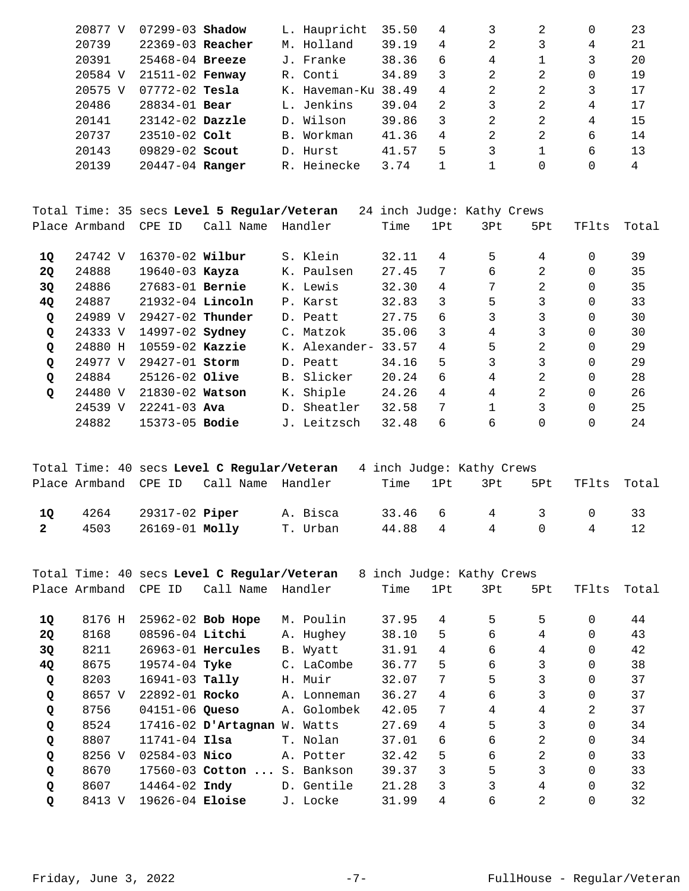|    | 20877 V       | $07299 - 03$ Shadow |                                             | L. Haupricht  | 35.50 | 4              | 3                          | 2              |          | 23    |
|----|---------------|---------------------|---------------------------------------------|---------------|-------|----------------|----------------------------|----------------|----------|-------|
|    | 20739         | $22369-03$ Reacher  |                                             | M. Holland    | 39.19 | $\overline{4}$ | 2                          | 3              | 4        | 21    |
|    | 20391         | $25468 - 04$ Breeze |                                             | J. Franke     | 38.36 | 6              | 4                          |                | 3        | 20    |
|    | 20584 V       | $21511 - 02$ Fenway |                                             | R. Conti      | 34.89 | 3              | 2                          | 2              | $\Omega$ | 19    |
|    | 20575 V       | $07772 - 02$ Tesla  |                                             | K. Haveman-Ku | 38.49 | $\overline{4}$ | 2.                         | $\mathfrak{D}$ | 3        | 17    |
|    | 20486         | $28834 - 01$ Bear   |                                             | L. Jenkins    | 39.04 | 2              | 3                          | 2              | 4        | 17    |
|    | 20141         | $23142 - 02$ Dazzle |                                             | D. Wilson     | 39.86 | 3              | 2                          | 2              | 4        | 15    |
|    | 20737         | $23510 - 02$ Colt   |                                             | B. Workman    | 41.36 | 4              | $\overline{2}$             | 2              | 6        | 14    |
|    | 20143         | $09829 - 02$ Scout  |                                             | D. Hurst      | 41.57 | 5              | 3                          |                | 6        | 13    |
|    | 20139         | 20447-04 Ranger     |                                             | R. Heinecke   | 3.74  | $\mathbf{1}$   | $\mathbf{1}$               | $\Omega$       | $\Omega$ | 4     |
|    |               |                     |                                             |               |       |                |                            |                |          |       |
|    |               |                     | Total Time: 35 secs Level 5 Regular/Veteran |               |       |                | 24 inch Judge: Kathy Crews |                |          |       |
|    | Place Armband | CPE ID              | Call Name                                   | Handler       | Time  | 1Pt            | 3Pt                        | 5Pt            | TFlts    | Total |
| 10 | 24742 V       | 16370-02 Wilbur     |                                             | S. Klein      | 32.11 | 4              | 5                          | 4              | $\Omega$ | 39    |

| --        |         |                        |                |               |       |    |   |               |          |    |
|-----------|---------|------------------------|----------------|---------------|-------|----|---|---------------|----------|----|
| <b>2Q</b> | 24888   | $19640 - 03$ Kayza     |                | K. Paulsen    | 27.45 |    | 6 |               | 0        | 35 |
| 3Q        | 24886   | $27683 - 01$ Bernie    |                | K. Lewis      | 32.30 | 4  |   |               | 0        | 35 |
| <b>40</b> | 24887   | $21932-04$ Lincoln     |                | P. Karst      | 32.83 | 3  | 5 |               | 0        | 33 |
| Q         | 24989 V | $29427-02$ Thunder     |                | D. Peatt      | 27.75 | 6  |   |               | 0        | 30 |
| Q         | 24333 V | 14997-02 <b>Sydney</b> | $\mathsf{C}$ . | Matzok        | 35.06 | 3  | 4 | 3             | 0        | 30 |
| Q         | 24880 H | $10559 - 02$ Kazzie    |                | K. Alexander- | 33.57 | 4  | 5 | $\mathcal{L}$ | 0        | 29 |
| Q         | 24977 V | 29427-01 Storm         |                | D. Peatt      | 34.16 | 5. |   |               | 0        | 29 |
| Q         | 24884   | $25126 - 02$ Olive     |                | B. Slicker    | 20.24 | 6  | 4 | 2.            | 0        | 28 |
| Q         | 24480 V | 21830-02 Watson        |                | K. Shiple     | 24.26 | 4  | 4 | $\mathcal{L}$ | $\Omega$ | 26 |
|           | 24539 V | $22241 - 03$ Ava       |                | D. Sheatler   | 32.58 | 7  |   |               | 0        | 25 |
|           | 24882   | 15373-05 <b>Bodie</b>  |                | J. Leitzsch   | 32.48 | б  | б | 0             |          | 24 |

|                    |      |                                           | Total Time: 40 secs Level C Regular/Veteran |                      | 4 inch Judge: Kathy Crews |              |     |                       |     |
|--------------------|------|-------------------------------------------|---------------------------------------------|----------------------|---------------------------|--------------|-----|-----------------------|-----|
|                    |      |                                           | Place Armband CPE ID Call Name Handler      |                      |                           | Time 1Pt 3Pt | 5Pt | TFlts Total           |     |
| 10<br>$\mathbf{2}$ | 4503 | $4264$ $29317-02$ Piper<br>26169-01 Molly |                                             | A. Bisca<br>T. Urban |                           | 44.88 4 4 0  |     | 33.46 6 4 3 0 33<br>4 | 12. |
|                    |      |                                           |                                             |                      |                           |              |     |                       |     |

|           |               |                    | Total Time: 40 secs Level C Regular/Veteran |             | 8 inch Judge: Kathy Crews |                |                |                |          |       |
|-----------|---------------|--------------------|---------------------------------------------|-------------|---------------------------|----------------|----------------|----------------|----------|-------|
|           | Place Armband | CPE ID             | Call Name                                   | Handler     | Time                      | 1Pt            | 3Pt            | 5Pt            | TFlts    | Total |
|           | 8176 H        |                    | 25962-02 Bob Hope                           | M. Poulin   | 37.95                     | 4              | 5              | 5              | $\Omega$ | 44    |
| 1Q        |               |                    |                                             |             |                           |                |                |                |          |       |
| <b>20</b> | 8168          | 08596-04 Litchi    |                                             | A. Hughey   | 38.10                     | 5              | 6              | 4              | $\Omega$ | 43    |
| 3Q        | 8211          |                    | $26963 - 01$ Hercules                       | B. Wyatt    | 31.91                     | $\overline{4}$ | 6              | 4              | 0        | 42    |
| 4Q        | 8675          | $19574 - 04$ Tyke  |                                             | C. LaCombe  | 36.77                     | 5              | 6              | 3              | $\Omega$ | 38    |
| Q         | 8203          | $16941-03$ Tally   |                                             | H. Muir     | 32.07                     | 7              | 5              | 3              | $\Omega$ | 37    |
| Q         | 8657 V        | $22892 - 01$ Rocko |                                             | A. Lonneman | 36.27                     | 4              | 6              | 3              | 0        | 37    |
| Q         | 8756          | 04151-06 Queso     |                                             | A. Golombek | 42.05                     | 7              | $\overline{4}$ | 4              | 2        | 37    |
| Q         | 8524          |                    | $17416 - 02$ D'Artagnan W. Watts            |             | 27.69                     | $\overline{4}$ | 5              | 3              | $\Omega$ | 34    |
| Q         | 8807          | $11741 - 04$ Ilsa  |                                             | T. Nolan    | 37.01                     | 6              | 6              | 2              | $\Omega$ | 34    |
| Q         | 8256 V        | $02584 - 03$ Nico  |                                             | A. Potter   | 32.42                     | 5              | 6              | $\mathfrak{D}$ | 0        | 33    |
| Q         | 8670          |                    | 17560-03 Cotton  S. Bankson                 |             | 39.37                     | 3              | 5              | 3              | $\Omega$ | 33    |
| Q         | 8607          | 14464-02 Indy      |                                             | D. Gentile  | 21.28                     | 3              | 3              | 4              | $\Omega$ | 32    |
| Q         | 8413 V        | 19626-04 Eloise    |                                             | J. Locke    | 31.99                     | 4              | 6              | 2              | 0        | 32    |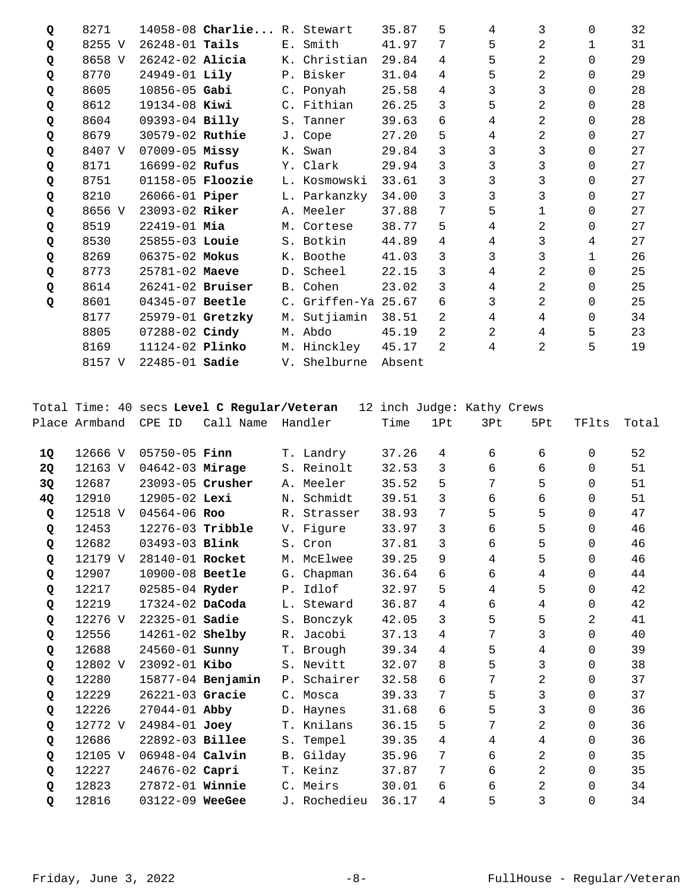| Q | 8271   |                         | 14058-08 Charlie R. Stewart |    |                     | 35.87  | 5              | 4              | 3              | 0            | 32 |
|---|--------|-------------------------|-----------------------------|----|---------------------|--------|----------------|----------------|----------------|--------------|----|
| Q | 8255 V | $26248 - 01$ Tails      |                             |    | E. Smith            | 41.97  | 7              | 5              | 2              | $\mathbf{1}$ | 31 |
| Q | 8658 V | $26242 - 02$ Alicia     |                             |    | K. Christian        | 29.84  | 4              | 5              | 2              | $\Omega$     | 29 |
| Q | 8770   | 24949-01 Lily           |                             |    | P. Bisker           | 31.04  | 4              | 5              | 2              | $\Omega$     | 29 |
| Q | 8605   | $10856 - 05$ Gabi       |                             |    | C. Ponyah           | 25.58  | 4              | 3              | 3              | $\Omega$     | 28 |
| Q | 8612   | $19134 - 08$ Kiwi       |                             |    | C. Fithian          | 26.25  | 3              | 5              | 2              | $\Omega$     | 28 |
| Q | 8604   | 09393-04 Billy          |                             |    | S. Tanner           | 39.63  | 6              | 4              | $\overline{2}$ | $\Omega$     | 28 |
| Q | 8679   | 30579-02 Ruthie         |                             |    | J. Cope             | 27.20  | 5              | 4              | 2              | $\Omega$     | 27 |
| Q | 8407 V | $07009 - 05$ Missy      |                             |    | K. Swan             | 29.84  | 3              | 3              | 3              | $\Omega$     | 27 |
| Q | 8171   | 16699-02 Rufus          |                             |    | Y. Clark            | 29.94  | 3              | 3              | 3              | $\Omega$     | 27 |
| Q | 8751   | 01158-05 <b>Floozie</b> |                             |    | L. Kosmowski        | 33.61  | 3              | 3              | 3              | $\Omega$     | 27 |
| Q | 8210   | 26066-01 <b>Piper</b>   |                             |    | L. Parkanzky        | 34.00  | 3              | 3              | 3              | $\Omega$     | 27 |
| Q | 8656 V | 23093-02 Riker          |                             |    | A. Meeler           | 37.88  | 7              | 5              | 1              | $\Omega$     | 27 |
| Q | 8519   | $22419 - 01$ Mia        |                             |    | M. Cortese          | 38.77  | 5              | 4              | 2              | $\Omega$     | 27 |
| Q | 8530   | 25855-03 Louie          |                             |    | S. Botkin           | 44.89  | 4              | 4              | 3              | 4            | 27 |
| Q | 8269   | 06375-02 Mokus          |                             |    | K. Boothe           | 41.03  | 3              | 3              | 3              | 1            | 26 |
| Q | 8773   | 25781-02 Maeve          |                             |    | D. Scheel           | 22.15  | 3              | 4              | $\overline{2}$ | $\Omega$     | 25 |
| Q | 8614   | $26241 - 02$ Bruiser    |                             |    | B. Cohen            | 23.02  | 3              | 4              | 2              | $\Omega$     | 25 |
| Q | 8601   | 04345-07 Beetle         |                             |    | C. Griffen-Ya 25.67 |        | 6              | 3              | $\overline{2}$ | $\Omega$     | 25 |
|   | 8177   | 25979-01 Gretzky        |                             | М. | Sutjiamin           | 38.51  | 2              | 4              | 4              | $\Omega$     | 34 |
|   | 8805   | 07288-02 Cindy          |                             |    | M. Abdo             | 45.19  | $\mathfrak{D}$ | $\overline{2}$ | 4              | 5            | 23 |
|   | 8169   | 11124-02 <b>Plinko</b>  |                             | М. | Hinckley            | 45.17  | 2              | 4              | 2              | 5            | 19 |
|   | 8157 V | $22485 - 01$ Sadie      |                             |    | V. Shelburne        | Absent |                |                |                |              |    |

Total Time: 40 secs **Level C Regular/Veteran** 12 inch Judge: Kathy Crews

|    | Place Armband | CPE<br>ID             | Call Name         | Handler      | Time  | 1Pt | 3Pt | 5Pt            | TFlts       | Total |
|----|---------------|-----------------------|-------------------|--------------|-------|-----|-----|----------------|-------------|-------|
| 10 | 12666 V       | $05750 - 05$ Finn     |                   | T. Landry    | 37.26 | 4   | 6   | 6              | $\mathbf 0$ | 52    |
| 2Q | 12163 V       | 04642-03 Mirage       |                   | S. Reinolt   | 32.53 | 3   | 6   | 6              | 0           | 51    |
| 3Q | 12687         | 23093-05 Crusher      |                   | A. Meeler    | 35.52 | 5   | 7   | 5              | $\Omega$    | 51    |
| 4Q | 12910         | 12905-02 Lexi         |                   | N. Schmidt   | 39.51 | 3   | 6   | 6              | $\Omega$    | 51    |
| Q  | 12518 V       | 04564-06 Roo          |                   | R. Strasser  | 38.93 | 7   | 5   | 5              | $\Omega$    | 47    |
| Q  | 12453         | 12276-03 Tribble      |                   | V. Figure    | 33.97 | 3   | 6   | 5              | $\Omega$    | 46    |
| Q  | 12682         | 03493-03 Blink        |                   | S. Cron      | 37.81 | 3   | 6   | 5              | $\Omega$    | 46    |
| Q  | 12179 V       | 28140-01 Rocket       |                   | M. McElwee   | 39.25 | 9   | 4   | 5              | $\Omega$    | 46    |
| Q  | 12907         | 10900-08 Beetle       |                   | G. Chapman   | 36.64 | б.  | 6   | 4              | $\Omega$    | 44    |
| Q  | 12217         | 02585-04 Ryder        |                   | P. Idlof     | 32.97 | 5   | 4   | 5              | 0           | 42    |
| Q  | 12219         | 17324-02 DaCoda       |                   | L. Steward   | 36.87 | 4   | 6   | 4              | $\mathbf 0$ | 42    |
| Q  | 12276 V       | 22325-01 <b>Sadie</b> |                   | S. Bonczyk   | 42.05 | 3   | 5   | 5              | 2           | 41    |
| Q  | 12556         | 14261-02 Shelby       |                   | R. Jacobi    | 37.13 | 4   | 7   | 3              | $\mathbf 0$ | 40    |
| Q  | 12688         | 24560-01 <b>Sunny</b> |                   | T. Brough    | 39.34 | 4   | 5   | 4              | 0           | 39    |
| Q  | 12802 V       | 23092-01 Kibo         |                   | S. Nevitt    | 32.07 | 8   | 5   | 3              | 0           | 38    |
| Q  | 12280         |                       | 15877-04 Benjamin | P. Schairer  | 32.58 | 6   | 7   | 2              | $\Omega$    | 37    |
| Q  | 12229         | 26221-03 Gracie       |                   | C. Mosca     | 39.33 | 7   | 5   | 3              | $\Omega$    | 37    |
| Q  | 12226         | $27044 - 01$ Abby     |                   | D. Haynes    | 31.68 | 6   | 5   | 3              | $\Omega$    | 36    |
| Q  | 12772 V       | $24984 - 01$ Joey     |                   | T. Knilans   | 36.15 | 5   | 7   | 2              | $\Omega$    | 36    |
| Q  | 12686         | 22892-03 Billee       |                   | S. Tempel    | 39.35 | 4   | 4   | 4              | $\Omega$    | 36    |
| Q  | 12105 V       | 06948-04 Calvin       |                   | B. Gilday    | 35.96 | 7   | 6   | 2              | $\Omega$    | 35    |
| Q  | 12227         | 24676-02 Capri        |                   | T. Keinz     | 37.87 | 7   | 6   | $\overline{a}$ | $\Omega$    | 35    |
| Q  | 12823         | 27872-01 Winnie       |                   | C. Meirs     | 30.01 | 6   | 6   | 2              | $\Omega$    | 34    |
| Q  | 12816         | 03122-09 WeeGee       |                   | J. Rochedieu | 36.17 | 4   | 5   | 3              | $\Omega$    | 34    |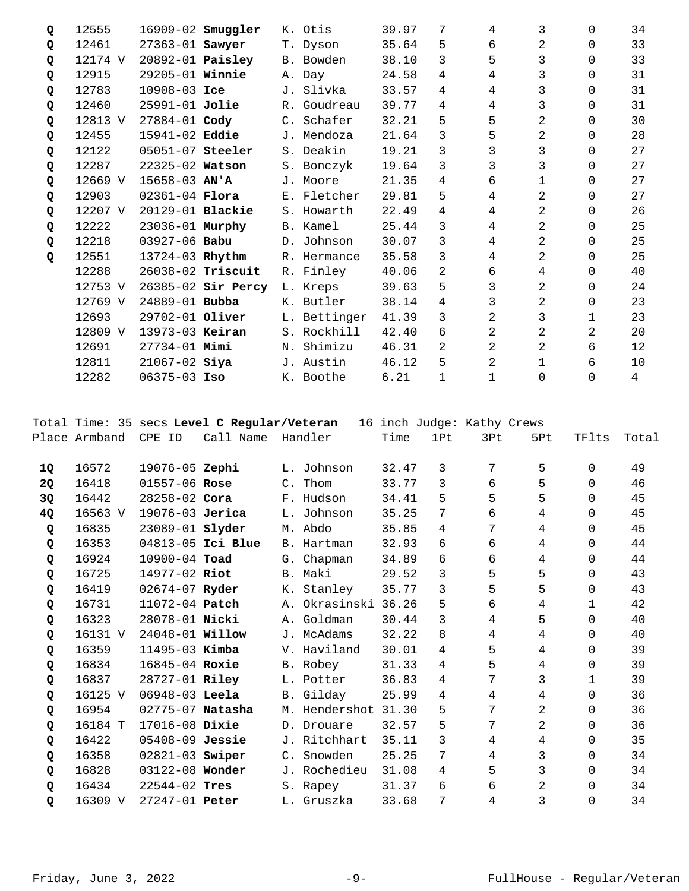| Q | 12555   |                         | 16909-02 <b>Smuggler</b> |                | K. Otis      | 39.97 | 7 | 4           | 3        | $\Omega$ | 34             |
|---|---------|-------------------------|--------------------------|----------------|--------------|-------|---|-------------|----------|----------|----------------|
| Q | 12461   | 27363-01 Sawyer         |                          |                | T. Dyson     | 35.64 | 5 | 6           | 2        | $\Omega$ | 33             |
| Q | 12174 V | 20892-01 <b>Paisley</b> |                          |                | B. Bowden    | 38.10 | 3 | 5           | 3        | $\Omega$ | 33             |
| Q | 12915   | 29205-01 Winnie         |                          |                | A. Day       | 24.58 | 4 | 4           | 3        | $\Omega$ | 31             |
| Q | 12783   | $10908 - 03$ Ice        |                          |                | J. Slivka    | 33.57 | 4 | 4           | 3        | $\Omega$ | 31             |
| Q | 12460   | $25991 - 01$ Jolie      |                          |                | R. Goudreau  | 39.77 | 4 | 4           | 3        | $\Omega$ | 31             |
| Q | 12813 V | 27884-01 Cody           |                          | $\mathsf{C}$ . | Schafer      | 32.21 | 5 | 5           | 2        | $\Omega$ | 30             |
| Q | 12455   | 15941-02 Eddie          |                          |                | J. Mendoza   | 21.64 | 3 | 5           | 2        | $\Omega$ | 28             |
| Q | 12122   | 05051-07 Steeler        |                          |                | S. Deakin    | 19.21 | 3 | 3           | 3        | 0        | 27             |
| Q | 12287   | 22325-02 Watson         |                          |                | S. Bonczyk   | 19.64 | 3 | 3           | 3        | $\Omega$ | 27             |
| Q | 12669 V | $15658 - 03$ AN'A       |                          |                | J. Moore     | 21.35 | 4 | 6           | 1        | $\Omega$ | 27             |
| Q | 12903   | $02361 - 04$ Flora      |                          |                | E. Fletcher  | 29.81 | 5 | 4           | 2        | $\Omega$ | 27             |
| Q | 12207 V | 20129-01 <b>Blackie</b> |                          |                | S. Howarth   | 22.49 | 4 | 4           | 2        | $\Omega$ | 26             |
| Q | 12222   | 23036-01 Murphy         |                          |                | B. Kamel     | 25.44 | 3 | 4           | 2        | $\Omega$ | 25             |
| Q | 12218   | $03927 - 06$ Babu       |                          |                | D. Johnson   | 30.07 | 3 | 4           | 2        | $\Omega$ | 25             |
| Q | 12551   | 13724-03 Rhythm         |                          |                | R. Hermance  | 35.58 | 3 | 4           | 2        | $\Omega$ | 25             |
|   | 12288   |                         | 26038-02 Triscuit        |                | R. Finley    | 40.06 | 2 | 6           | 4        | $\Omega$ | 40             |
|   | 12753 V |                         | 26385-02 Sir Percy       |                | L. Kreps     | 39.63 | 5 | 3           | 2        | $\Omega$ | 24             |
|   | 12769 V | 24889-01 Bubba          |                          | Κ.             | Butler       | 38.14 | 4 | 3           | 2        | 0        | 23             |
|   | 12693   | 29702-01 Oliver         |                          |                | L. Bettinger | 41.39 | 3 | 2           | 3        | 1        | 23             |
|   | 12809 V | 13973-03 Keiran         |                          |                | S. Rockhill  | 42.40 | 6 | 2           | 2        | 2        | 20             |
|   | 12691   | $27734 - 01$ Mimi       |                          | Ν.             | Shimizu      | 46.31 | 2 | 2           | 2        | 6        | 12             |
|   | 12811   | $21067 - 02$ Siya       |                          |                | J. Austin    | 46.12 | 5 | 2           | 1        | 6        | 10             |
|   | 12282   | 06375-03 Iso            |                          |                | K. Boothe    | 6.21  | 1 | $\mathbf 1$ | $\Omega$ | $\Omega$ | $\overline{4}$ |

Total Time: 35 secs **Level C Regular/Veteran** 16 inch Judge: Kathy Crews Place Armband CPE ID Call Name Handler Time 1Pt 3Pt 5Pt TFlts Total

| 10 | 16572   | 19076-05 Zephi         |                   | L. Johnson    | 32.47 | 3 | 7              | 5              | 0            | 49 |
|----|---------|------------------------|-------------------|---------------|-------|---|----------------|----------------|--------------|----|
| 2Q | 16418   | 01557-06 Rose          |                   | C. Thom       | 33.77 | 3 | 6              | 5              | $\Omega$     | 46 |
| 3Q | 16442   | $28258 - 02$ Cora      |                   | F. Hudson     | 34.41 | 5 | 5              | 5              | $\Omega$     | 45 |
| 4Q | 16563 V | 19076-03 Jerica        |                   | L. Johnson    | 35.25 | 7 | 6              | 4              | $\Omega$     | 45 |
| Q  | 16835   | 23089-01 <b>Slyder</b> |                   | M. Abdo       | 35.85 | 4 | 7              | 4              | $\Omega$     | 45 |
| Q  | 16353   |                        | 04813-05 Ici Blue | B. Hartman    | 32.93 | 6 | 6              | 4              | $\Omega$     | 44 |
| Q  | 16924   | $10900 - 04$ Toad      |                   | G. Chapman    | 34.89 | 6 | 6              | 4              | $\Omega$     | 44 |
| Q  | 16725   | 14977-02 Riot          |                   | B. Maki       | 29.52 | 3 | 5              | 5              | $\Omega$     | 43 |
| Q  | 16419   | 02674-07 Ryder         |                   | K. Stanley    | 35.77 | 3 | 5              | 5              | $\Omega$     | 43 |
| Q  | 16731   | 11072-04 <b>Patch</b>  |                   | A. Okrasinski | 36.26 | 5 | 6              | 4              | $\mathbf{1}$ | 42 |
| Q  | 16323   | 28078-01 Nicki         |                   | A. Goldman    | 30.44 | 3 | 4              | 5              | $\Omega$     | 40 |
| Q  | 16131 V | 24048-01 <b>Willow</b> |                   | J. McAdams    | 32.22 | 8 | $\overline{4}$ | 4              | $\Omega$     | 40 |
| Q  | 16359   | 11495-03 Kimba         |                   | V. Haviland   | 30.01 | 4 | 5              | 4              | $\Omega$     | 39 |
| Q  | 16834   | 16845-04 Roxie         |                   | B. Robey      | 31.33 | 4 | 5              | 4              | $\Omega$     | 39 |
| Q  | 16837   | 28727-01 Riley         |                   | L. Potter     | 36.83 | 4 | 7              | 3              | $\mathbf{1}$ | 39 |
| Q  | 16125 V | $06948-03$ Leela       |                   | B. Gilday     | 25.99 | 4 | 4              | 4              | 0            | 36 |
| Q  | 16954   | 02775-07 Natasha       |                   | M. Hendershot | 31.30 | 5 | 7              | $\overline{a}$ | $\Omega$     | 36 |
| Q  | 16184 T | 17016-08 Dixie         |                   | D. Drouare    | 32.57 | 5 | 7              | 2              | 0            | 36 |
| Q  | 16422   | $05408 - 09$ Jessie    |                   | J. Ritchhart  | 35.11 | 3 | 4              | 4              | $\Omega$     | 35 |
| Q  | 16358   | 02821-03 Swiper        |                   | C. Snowden    | 25.25 | 7 | 4              | 3              | $\Omega$     | 34 |
| Q  | 16828   | 03122-08 Wonder        |                   | J. Rochedieu  | 31.08 | 4 | 5              | 3              | $\Omega$     | 34 |
| Q  | 16434   | $22544 - 02$ Tres      |                   | S. Rapey      | 31.37 | 6 | 6              | 2              | $\Omega$     | 34 |
| Q  | 16309 V | 27247-01 Peter         |                   | L. Gruszka    | 33.68 | 7 | 4              | 3              | $\Omega$     | 34 |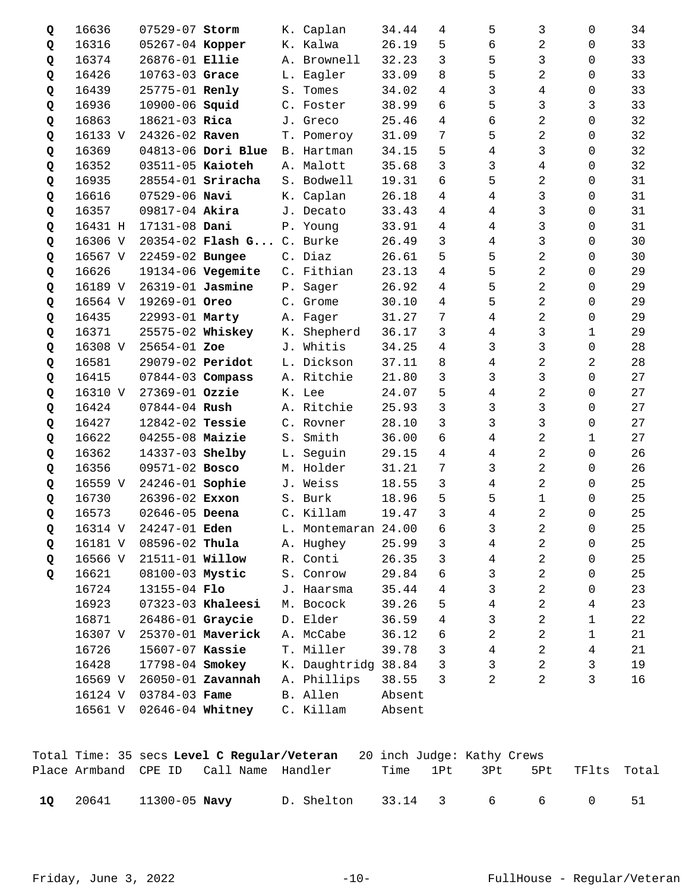| Q | 16636   | 07529-07 Storm         |                          | К. | Caplan           | 34.44  | 4 | 5              | 3              | $\Omega$    | 34 |
|---|---------|------------------------|--------------------------|----|------------------|--------|---|----------------|----------------|-------------|----|
| Q | 16316   | 05267-04 Kopper        |                          |    | K. Kalwa         | 26.19  | 5 | 6              | 2              | 0           | 33 |
| Q | 16374   | 26876-01 Ellie         |                          |    | A. Brownell      | 32.23  | 3 | 5              | 3              | 0           | 33 |
| Q | 16426   | 10763-03 Grace         |                          | L. | Eagler           | 33.09  | 8 | 5              | 2              | 0           | 33 |
| Q | 16439   | 25775-01 Renly         |                          | S. | Tomes            | 34.02  | 4 | 3              | 4              | 0           | 33 |
| Q | 16936   | 10900-06 <b>Squid</b>  |                          |    | C. Foster        | 38.99  | 6 | 5              | 3              | 3           | 33 |
| Q | 16863   | 18621-03 Rica          |                          |    | J. Greco         | 25.46  | 4 | 6              | 2              | 0           | 32 |
| Q | 16133 V | 24326-02 Raven         |                          |    | T. Pomeroy       | 31.09  | 7 | 5              | 2              | 0           | 32 |
| Q | 16369   |                        | 04813-06 Dori Blue       | B. | Hartman          | 34.15  | 5 | 4              | 3              | $\Omega$    | 32 |
| Q | 16352   | 03511-05 Kaioteh       |                          |    | A. Malott        | 35.68  | 3 | 3              | 4              | 0           | 32 |
| Q | 16935   |                        | 28554-01 <b>Sriracha</b> |    | S. Bodwell       | 19.31  | 6 | 5              | 2              | 0           | 31 |
| Q | 16616   | $07529 - 06$ Navi      |                          |    | K. Caplan        | 26.18  | 4 | 4              | 3              | 0           | 31 |
| Q | 16357   | 09817-04 Akira         |                          |    | J. Decato        | 33.43  | 4 | 4              | 3              | $\Omega$    | 31 |
| Q | 16431 H | 17131-08 Dani          |                          |    | P. Young         | 33.91  | 4 | 4              | 3              | 0           | 31 |
| Q | 16306 V |                        | $20354 - 02$ Flash G     |    | C. Burke         | 26.49  | 3 | 4              | 3              | 0           | 30 |
| Q | 16567 V | 22459-02 Bungee        |                          |    | C. Diaz          | 26.61  | 5 | 5              | 2              | 0           | 30 |
| Q | 16626   |                        | 19134-06 Vegemite        |    | C. Fithian       | 23.13  | 4 | 5              | 2              | $\Omega$    | 29 |
| Q | 16189 V | 26319-01 Jasmine       |                          |    | P. Sager         | 26.92  | 4 | 5              | 2              | $\Omega$    | 29 |
| Q | 16564 V | 19269-01 Oreo          |                          |    | C. Grome         | 30.10  | 4 | 5              | 2              | 0           | 29 |
| Q | 16435   | 22993-01 Marty         |                          |    | A. Fager         | 31.27  | 7 | 4              | 2              | 0           | 29 |
| Q | 16371   | 25575-02 Whiskey       |                          | К. | Shepherd         | 36.17  | 3 | 4              | 3              | 1           | 29 |
| Q | 16308 V | 25654-01 Zoe           |                          | J. | Whitis           | 34.25  | 4 | 3              | 3              | $\Omega$    | 28 |
| Q | 16581   | 29079-02 Peridot       |                          |    | L. Dickson       | 37.11  | 8 | 4              | 2              | 2           | 28 |
| Q | 16415   | $07844 - 03$ Compass   |                          |    | A. Ritchie       | 21.80  | 3 | 3              | 3              | $\mathbf 0$ | 27 |
| Q | 16310 V | 27369-01 Ozzie         |                          |    | K. Lee           | 24.07  | 5 | $\overline{4}$ | 2              | $\Omega$    | 27 |
| Q | 16424   | $07844 - 04$ Rush      |                          | Α. | Ritchie          | 25.93  | 3 | 3              | 3              | $\Omega$    | 27 |
| Q | 16427   | 12842-02 Tessie        |                          |    | C. Rovner        | 28.10  | 3 | 3              | 3              | $\mathbf 0$ | 27 |
| Q | 16622   | 04255-08 Maizie        |                          | S. | Smith            | 36.00  | 6 | 4              | 2              | 1           | 27 |
| Q | 16362   | 14337-03 Shelby        |                          | L. | Seguin           | 29.15  | 4 | 4              | 2              | 0           | 26 |
| Q | 16356   | 09571-02 Bosco         |                          | М. | Holder           | 31.21  | 7 | 3              | 2              | $\Omega$    | 26 |
| Q | 16559 V | 24246-01 Sophie        |                          | J. | Weiss            | 18.55  | 3 | 4              | 2              | 0           | 25 |
| Q | 16730   | 26396-02 Exxon         |                          |    | S. Burk          | 18.96  | 5 | 5              | $\mathbf 1$    | 0           | 25 |
| Q | 16573   | 02646-05 Deena         |                          |    | C. Killam        | 19.47  | 3 | 4              | 2              | 0           | 25 |
| Q | 16314 V | 24247-01 Eden          |                          | L. | Montemaran 24.00 |        | 6 | 3              | 2              | 0           | 25 |
| Q | 16181 V | 08596-02 Thula         |                          |    | A. Hughey        | 25.99  | 3 | 4              | 2              | 0           | 25 |
| Q | 16566 V | 21511-01 <b>Willow</b> |                          |    | R. Conti         | 26.35  | 3 | 4              | 2              | 0           | 25 |
| Q | 16621   | 08100-03 Mystic        |                          |    | S. Conrow        | 29.84  | 6 | 3              | $\overline{2}$ | 0           | 25 |
|   | 16724   | 13155-04 Flo           |                          |    | J. Haarsma       | 35.44  | 4 | 3              | 2              | 0           | 23 |
|   | 16923   |                        | 07323-03 Khaleesi        |    | M. Bocock        | 39.26  | 5 | 4              | 2              | 4           | 23 |
|   | 16871   | 26486-01 Graycie       |                          |    | D. Elder         | 36.59  | 4 | 3              | 2              | $\mathbf 1$ | 22 |
|   | 16307 V |                        | 25370-01 Maverick        |    | A. McCabe        | 36.12  | 6 | 2              | 2              | 1           | 21 |
|   | 16726   | 15607-07 Kassie        |                          | Τ. | Miller           | 39.78  | 3 | 4              | 2              | 4           | 21 |
|   | 16428   | 17798-04 Smokey        |                          |    | K. Daughtridg    | 38.84  | 3 | 3              | 2              | 3           | 19 |
|   | 16569 V |                        | 26050-01 Zavannah        |    | A. Phillips      | 38.55  | 3 | 2              | 2              | 3           | 16 |
|   | 16124 V | 03784-03 Fame          |                          |    | B. Allen         | Absent |   |                |                |             |    |
|   | 16561 V | 02646-04 Whitney       |                          |    | C. Killam        | Absent |   |                |                |             |    |

|      |                     | Total Time: 35 secs Level C Regular/Veteran |                      |  | 20 inch Judge: Kathy Crews |                 |                 |    |
|------|---------------------|---------------------------------------------|----------------------|--|----------------------------|-----------------|-----------------|----|
|      |                     | Place Armband CPE ID Call Name Handler      |                      |  | Time 1Pt 3Pt               |                 | 5Pt TFlts Total |    |
| - 10 | 20641 11300-05 Navy |                                             | D. Shelton 33.14 3 6 |  |                            | $6\overline{6}$ | - റ             | 51 |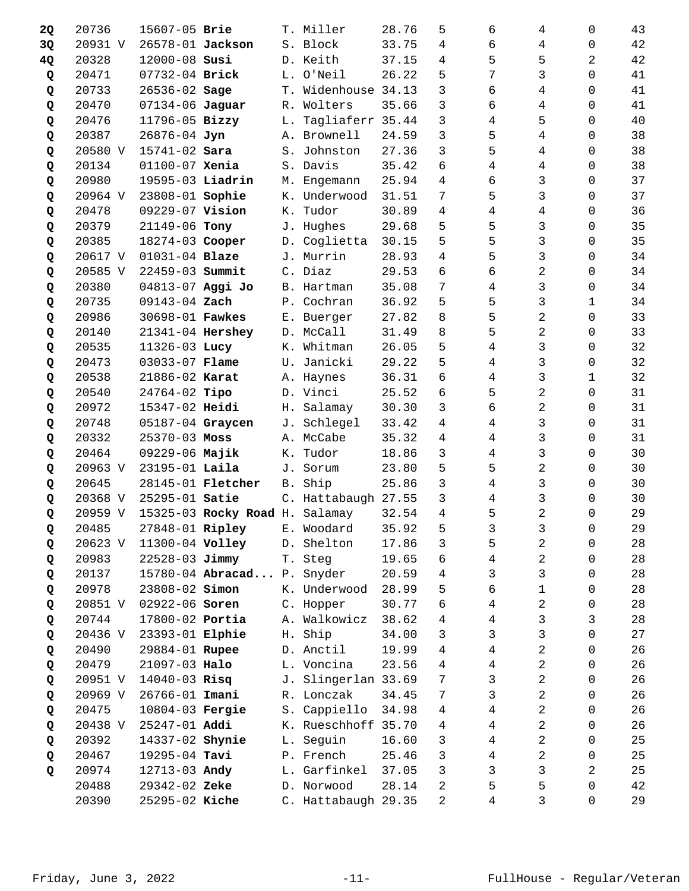| <b>2Q</b> | 20736   | 15607-05 Brie     |                                | Т.            | Miller              | 28.76 | 5 | 6              | 4              | 0                   | 43 |
|-----------|---------|-------------------|--------------------------------|---------------|---------------------|-------|---|----------------|----------------|---------------------|----|
| 3Q        | 20931 V | 26578-01 Jackson  |                                |               | S. Block            | 33.75 | 4 | 6              | 4              | 0                   | 42 |
| 4Q        | 20328   | 12000-08 Susi     |                                |               | D. Keith            | 37.15 | 4 | 5              | 5              | 2                   | 42 |
| Q         | 20471   | 07732-04 Brick    |                                |               | L. O'Neil           | 26.22 | 5 | 7              | 3              | 0                   | 41 |
| Q         | 20733   | 26536-02 Sage     |                                |               | T. Widenhouse 34.13 |       | 3 | 6              | 4              | 0                   | 41 |
| Q         | 20470   | 07134-06 Jaguar   |                                | R.            | Wolters             | 35.66 | 3 | 6              | 4              | $\Omega$            | 41 |
| Q         | 20476   | 11796-05 Bizzy    |                                | L.            | Tagliaferr 35.44    |       | 3 | 4              | 5              | $\Omega$            | 40 |
| Q         | 20387   | 26876-04 Jyn      |                                |               | A. Brownell         | 24.59 | 3 | 5              | 4              | 0                   | 38 |
| Q         | 20580 V | 15741-02 Sara     |                                |               | S. Johnston         | 27.36 | 3 | 5              | 4              | 0                   | 38 |
| Q         | 20134   | 01100-07 Xenia    |                                |               | S. Davis            | 35.42 | 6 | $\overline{4}$ | 4              | $\Omega$            | 38 |
| Q         | 20980   | 19595-03 Liadrin  |                                | М.            | Engemann            | 25.94 | 4 | 6              | 3              | $\Omega$            | 37 |
| Q         | 20964 V | 23808-01 Sophie   |                                |               | K. Underwood        | 31.51 | 7 | 5              | 3              | 0                   | 37 |
| Q         | 20478   | 09229-07 Vision   |                                | К.            | Tudor               | 30.89 | 4 | 4              | 4              | 0                   | 36 |
| Q         | 20379   | 21149-06 Tony     |                                |               | J. Hughes           | 29.68 | 5 | 5              | 3              | 0                   | 35 |
| Q         | 20385   | 18274-03 Cooper   |                                |               | D. Coglietta        | 30.15 | 5 | 5              | 3              | $\Omega$            | 35 |
| Q         | 20617 V | 01031-04 Blaze    |                                |               | J. Murrin           | 28.93 | 4 | 5              | 3              | 0                   | 34 |
| Q         | 20585 V | 22459-03 Summit   |                                |               | C. Diaz             | 29.53 | 6 | 6              | 2              | 0                   | 34 |
| Q         | 20380   | 04813-07 Aggi Jo  |                                |               | B. Hartman          | 35.08 | 7 | 4              | 3              | 0                   | 34 |
| Q         | 20735   | 09143-04 Zach     |                                |               | P. Cochran          | 36.92 | 5 | 5              | 3              | 1                   | 34 |
| Q         | 20986   | 30698-01 Fawkes   |                                |               | E. Buerger          | 27.82 | 8 | 5              | 2              | 0                   | 33 |
| Q         | 20140   | 21341-04 Hershey  |                                |               | D. McCall           | 31.49 | 8 | 5              | 2              | 0                   | 33 |
| Q         | 20535   | 11326-03 Lucy     |                                |               | K. Whitman          | 26.05 | 5 | 4              | 3              | 0                   | 32 |
| Q         | 20473   | 03033-07 Flame    |                                | U.            | Janicki             | 29.22 | 5 | 4              | 3              | 0                   | 32 |
| Q         | 20538   | 21886-02 Karat    |                                |               | A. Haynes           | 36.31 | 6 | 4              | 3              | 1                   | 32 |
| Q         | 20540   | $24764 - 02$ Tipo |                                |               | D. Vinci            | 25.52 | 6 | 5              | 2              | $\mathbf 0$         | 31 |
| Q         | 20972   | 15347-02 Heidi    |                                |               | H. Salamay          | 30.30 | 3 | б              | 2              | 0                   | 31 |
| Q         | 20748   | 05187-04 Graycen  |                                |               | J. Schlegel         | 33.42 | 4 | 4              | 3              | $\Omega$            | 31 |
| Q         | 20332   | $25370 - 03$ Moss |                                |               | A. McCabe           | 35.32 | 4 | 4              | 3              | $\Omega$            | 31 |
| Q         | 20464   | 09229-06 Majik    |                                | К.            | Tudor               | 18.86 | 3 | 4              | 3              | 0                   | 30 |
| Q         | 20963 V | 23195-01 Laila    |                                | J.            | Sorum               | 23.80 | 5 | 5              | 2              | 0                   | 30 |
| Q         | 20645   |                   | 28145-01 <b>Fletcher</b>       | <b>B</b> .    | Ship                | 25.86 | 3 | 4              | 3              | 0                   | 30 |
| Q         | 20368 V | 25295-01 Satie    |                                |               | C. Hattabaugh 27.55 |       | 3 | 4              | 3              | 0                   | 30 |
| Q         | 20959 V |                   | 15325-03 Rocky Road H. Salamay |               |                     | 32.54 | 4 | 5              | 2              | 0                   | 29 |
| Q         | 20485   | 27848-01 Ripley   |                                |               | E. Woodard 35.92    |       | 5 | $\mathsf{3}$   | $\mathsf{3}$   | $\mathsf{O}\xspace$ | 29 |
| Q         | 20623 V | 11300-04 Volley   |                                | D.            | Shelton             | 17.86 | 3 | 5              | 2              | 0                   | 28 |
| Q         | 20983   | 22528-03 Jimmy    |                                | Τ.            | Steg                | 19.65 | 6 | 4              | 2              | 0                   | 28 |
| Q         | 20137   |                   | 15780-04 Abracad               | $P$ .         | Snyder              | 20.59 | 4 | 3              | 3              | $\mathbf 0$         | 28 |
| Q         | 20978   | 23808-02 Simon    |                                |               | K. Underwood        | 28.99 | 5 | 6              | $\mathbf{1}$   | 0                   | 28 |
| Q         | 20851 V | 02922-06 Soren    |                                | $\mathsf C$ . | Hopper              | 30.77 | 6 | 4              | 2              | 0                   | 28 |
| Q         | 20744   | 17800-02 Portia   |                                |               | A. Walkowicz        | 38.62 | 4 | 4              | 3              | 3                   | 28 |
| Q         | 20436 V | 23393-01 Elphie   |                                |               | H. Ship             | 34.00 | 3 | 3              | 3              | 0                   | 27 |
| Q         | 20490   | 29884-01 Rupee    |                                |               | D. Anctil           | 19.99 | 4 | 4              | 2              | 0                   | 26 |
| Q         | 20479   | 21097-03 Halo     |                                |               | L. Voncina          | 23.56 | 4 | 4              | 2              | 0                   | 26 |
| Q         | 20951 V | $14040 - 03$ Risq |                                | J.            | Slingerlan 33.69    |       | 7 | 3              | 2              | 0                   | 26 |
| Q         | 20969 V | 26766-01 Imani    |                                |               | R. Lonczak          | 34.45 | 7 | 3              | 2              | 0                   | 26 |
| Q         | 20475   | 10804-03 Fergie   |                                |               | S. Cappiello        | 34.98 | 4 | 4              | 2              | 0                   | 26 |
| Q         | 20438 V | 25247-01 Addi     |                                |               | K. Rueschhoff 35.70 |       | 4 | 4              | 2              | 0                   | 26 |
| Q         | 20392   | 14337-02 Shynie   |                                | L.            | Seguin              | 16.60 | 3 | 4              | $\overline{2}$ | 0                   | 25 |
| Q         | 20467   | 19295-04 Tavi     |                                |               | P. French           | 25.46 | 3 | 4              | 2              | 0                   | 25 |
| Q         | 20974   | 12713-03 Andy     |                                |               | L. Garfinkel        | 37.05 | 3 | 3              | 3              | $\overline{a}$      | 25 |
|           | 20488   | 29342-02 Zeke     |                                |               | D. Norwood          | 28.14 | 2 | 5              | 5              | 0                   | 42 |
|           | 20390   | 25295-02 Kiche    |                                |               | C. Hattabaugh 29.35 |       | 2 | 4              | 3              | 0                   | 29 |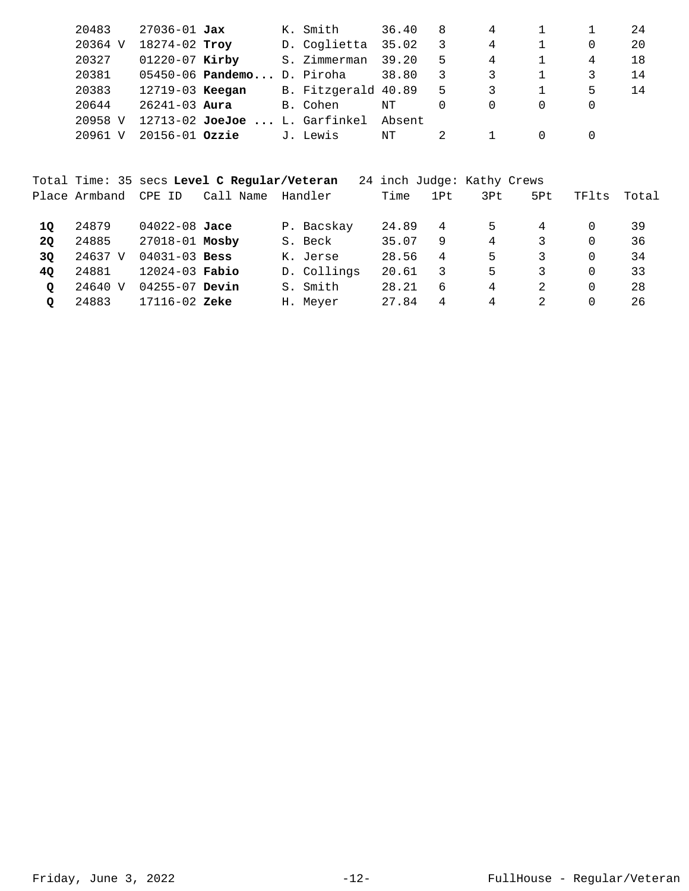| 20483             | $27036 - 01$ Jax   |                               | K. Smith            | 36.40  | 8  | 4 |          | 24 |
|-------------------|--------------------|-------------------------------|---------------------|--------|----|---|----------|----|
| 20364 V           | 18274-02 Troy      |                               | D. Coglietta        | 35.02  | 3  | 4 | 0        | 20 |
| 20327             | $01220 - 07$ Kirby |                               | S. Zimmerman        | 39.20  | 5  | 4 | 4        | 18 |
| 20381             |                    | $05450-06$ Pandemo D. Piroha  |                     | 38.80  | 3  |   |          | 14 |
| 20383             | 12719-03 Keegan    |                               | B. Fitzgerald 40.89 |        | -5 | 3 | 5        | 14 |
| 20644             | $26241 - 03$ Aura  |                               | B. Cohen            | NΤ     | 0  | 0 | $\Omega$ |    |
| 20958 V           |                    | 12713-02 JoeJoe  L. Garfinkel |                     | Absent |    |   |          |    |
| 20961<br>$\nabla$ | $20156 - 01$ Ozzie |                               | J. Lewis            | NΤ     |    |   | $\Omega$ |    |
|                   |                    |                               |                     |        |    |   |          |    |

|           |               |                    | Total Time: 35 secs Level C Regular/Veteran |             |       |                  | 24 inch Judge: Kathy Crews |     |       |       |
|-----------|---------------|--------------------|---------------------------------------------|-------------|-------|------------------|----------------------------|-----|-------|-------|
|           | Place Armband | CPE ID             | Call Name                                   | Handler     | Time  | 1P <sub>th</sub> | 3Pt                        | 5Pt | TFlts | Total |
| 10        | 24879         | 04022-08 Jace      |                                             | P. Bacskay  | 24.89 | 4                | 5                          | 4   |       | 39    |
| <b>20</b> | 24885         | 27018-01 Mosby     |                                             | S. Beck     | 35.07 | 9                | 4                          | 3   |       | 36    |
| 3Q        | 24637 V       | $04031 - 03$ Bess  |                                             | K. Jerse    | 28.56 | 4                | 5                          | 3   |       | 34    |
| 40        | 24881         | $12024 - 03$ Fabio |                                             | D. Collings | 20.61 | 3                | 5                          | 3   |       | 33    |
| O         | 24640 V       | $04255 - 07$ Devin |                                             | S. Smith    | 28.21 | 6                | 4                          | 2   |       | 28    |
| O         | 24883         | $17116 - 02$ Zeke  |                                             | H. Meyer    | 27.84 | 4                | 4                          | 2   |       | 26    |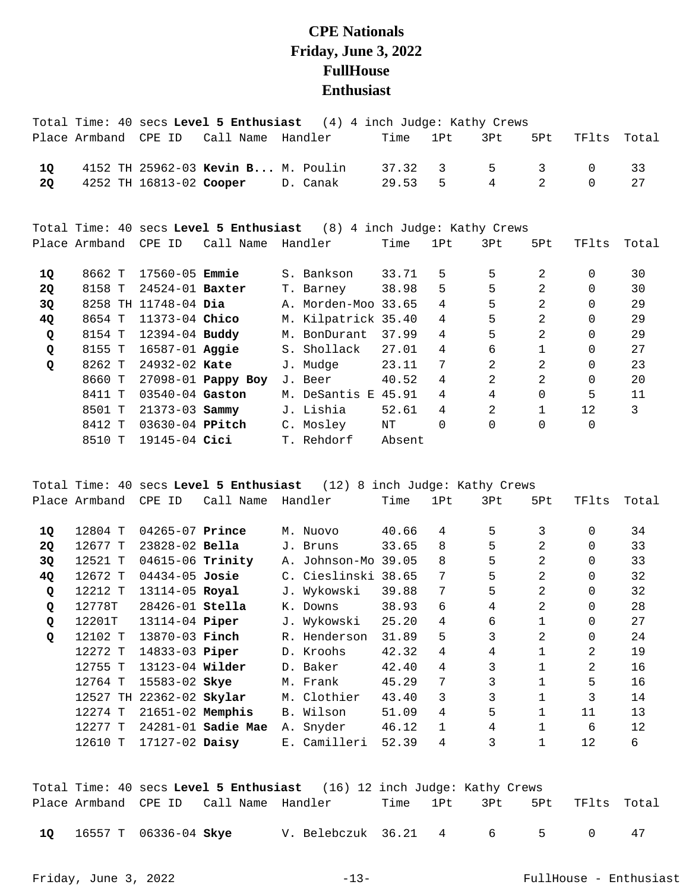## **CPE Nationals Friday, June 3, 2022 FullHouse Enthusiast**

|           |               |                        | Total Time: 40 secs Level 5 Enthusiast | (4) 4 inch Judge: Kathy Crews                                        |        |                 |                |                |          |       |
|-----------|---------------|------------------------|----------------------------------------|----------------------------------------------------------------------|--------|-----------------|----------------|----------------|----------|-------|
|           | Place Armband | CPE ID                 | Call Name                              | Handler                                                              | Time   | 1Pt             | 3Pt            | 5Pt            | TFlts    | Total |
| 1Q        |               |                        | 4152 TH 25962-03 Kevin B M. Poulin     |                                                                      | 37.32  | 3               | 5              | 3              | $\Omega$ | 33    |
| 2Q        |               |                        | 4252 TH 16813-02 Cooper D. Canak       |                                                                      | 29.53  | 5               | 4              | $\mathfrak{D}$ | $\Omega$ | 27    |
|           |               |                        |                                        |                                                                      |        |                 |                |                |          |       |
|           |               |                        |                                        | Total Time: 40 secs Level 5 Enthusiast (8) 4 inch Judge: Kathy Crews |        |                 |                |                |          |       |
|           | Place Armband | CPE ID                 | Call Name                              | Handler                                                              | Time   | 1Pt             | 3Pt            | 5Pt            | TFlts    | Total |
|           |               |                        |                                        |                                                                      |        |                 |                |                |          |       |
| 1Q        | 8662 T        | 17560-05 <b>Emmie</b>  |                                        | S. Bankson                                                           | 33.71  | 5               | 5              | 2              | 0        | 30    |
| <b>2Q</b> | 8158 T        | 24524-01 <b>Baxter</b> |                                        | T. Barney                                                            | 38.98  | 5               | 5              | $\overline{a}$ | $\Omega$ | 30    |
| 3Q        |               | 8258 TH 11748-04 Dia   |                                        | A. Morden-Moo 33.65                                                  |        | $\overline{4}$  | 5              | $\overline{a}$ | 0        | 29    |
| 4Q        | 8654 T        | 11373-04 Chico         |                                        | M. Kilpatrick 35.40                                                  |        | $4\overline{ }$ | 5              | 2              | 0        | 29    |
| Q         | 8154 T        | 12394-04 Buddy         |                                        | M. BonDurant                                                         | 37.99  | $\overline{4}$  | 5              | $\overline{a}$ | $\Omega$ | 29    |
| Q         | 8155 T        | 16587-01 Aggie         |                                        | S. Shollack                                                          | 27.01  | 4               | 6              | $\mathbf{1}$   | 0        | 27    |
| Q         | 8262 T        | 24932-02 Kate          |                                        | J. Mudge                                                             | 23.11  | 7               | $\overline{a}$ | 2              | 0        | 23    |
|           | 8660 T        |                        | 27098-01 Pappy Boy                     | J. Beer                                                              | 40.52  | 4               | $\overline{2}$ | 2              | 0        | 20    |
|           | 8411 T        | 03540-04 Gaston        |                                        | M. DeSantis E 45.91                                                  |        | $\overline{4}$  | 4              | $\Omega$       | 5        | 11    |
|           | 8501 T        | $21373 - 03$ Sammy     |                                        | J. Lishia                                                            | 52.61  | 4               | 2              | $\mathbf{1}$   | 12       | 3     |
|           | 8412 T        | 03630-04 PPitch        |                                        | C. Mosley                                                            | ΝT     | 0               | $\Omega$       | $\mathbf 0$    | 0        |       |
|           | 8510 T        | 19145-04 Cici          |                                        | T. Rehdorf                                                           | Absent |                 |                |                |          |       |

Total Time: 40 secs **Level 5 Enthusiast** (12) 8 inch Judge: Kathy Crews Place Armband CPE ID Call Name Handler Time 1Pt 3Pt 5Pt TFlts Total

| 10 | 12804 T | $04265 - 07$ Prince      |                        |                | M. Nuovo     | 40.66 | 4            | 5 | 3              | $\Omega$ | 34 |
|----|---------|--------------------------|------------------------|----------------|--------------|-------|--------------|---|----------------|----------|----|
| 2Q | 12677 T | $23828 - 02$ Bella       |                        |                | J. Bruns     | 33.65 | 8            | 5 | 2              | $\Omega$ | 33 |
| 3Q | 12521 T | 04615-06 Trinity         |                        | Α.             | Johnson-Mo   | 39.05 | 8            | 5 | 2              | $\Omega$ | 33 |
| 4Q | 12672 T | $04434 - 05$ Josie       |                        | $\mathsf{C}$ . | Cieslinski   | 38.65 | 7            | 5 | 2              | $\Omega$ | 32 |
| Q  | 12212 T | 13114-05 Royal           |                        | J.             | Wykowski     | 39.88 | 7            | 5 | 2              | $\Omega$ | 32 |
| Q  | 12778T  | $28426 - 01$ Stella      |                        |                | K. Downs     | 38.93 | 6            | 4 | 2              | $\Omega$ | 28 |
| Q  | 12201T  | 13114-04 <b>Piper</b>    |                        |                | J. Wykowski  | 25.20 | 4            | 6 |                | $\Omega$ | 27 |
| Q  | 12102 T | 13870-03 Finch           |                        |                | R. Henderson | 31.89 | 5            | 3 | $\mathfrak{D}$ | $\Omega$ | 24 |
|    | 12272 T | 14833-03 Piper           |                        |                | D. Kroohs    | 42.32 | 4            | 4 |                | 2        | 19 |
|    | 12755 T | 13123-04 Wilder          |                        |                | D. Baker     | 42.40 | 4            | 3 | $\mathbf{1}$   | 2        | 16 |
|    | 12764 T | 15583-02 Skye            |                        |                | M. Frank     | 45.29 | 7            | 3 |                | 5        | 16 |
|    |         | 12527 TH 22362-02 Skylar |                        |                | M. Clothier  | 43.40 | 3            | 3 | 1              | 3        | 14 |
|    | 12274 T | $21651-02$ Memphis       |                        |                | B. Wilson    | 51.09 | 4            | 5 | $\mathbf{1}$   | 11       | 13 |
|    | 12277 T |                          | $24281 - 01$ Sadie Mae |                | A. Snyder    | 46.12 | $\mathbf{1}$ | 4 |                | 6        | 12 |
|    | 12610 T | 17127-02 Daisy           |                        |                | E. Camilleri | 52.39 | 4            | 3 |                | 12       | 6  |

|    |                              |                                        | Total Time: 40 secs Level 5 Enthusiast (16) 12 inch Judge: Kathy Crews |  |                 |            |                              |  |
|----|------------------------------|----------------------------------------|------------------------------------------------------------------------|--|-----------------|------------|------------------------------|--|
|    |                              | Place Armband CPE ID Call Name Handler |                                                                        |  |                 |            | Time 1Pt 3Pt 5Pt TFlts Total |  |
|    |                              |                                        |                                                                        |  |                 |            |                              |  |
| 10 | 16557 T 06336-04 <b>Skye</b> |                                        | V. Belebczuk 36.21 4                                                   |  | $6\overline{6}$ | $\sqrt{5}$ |                              |  |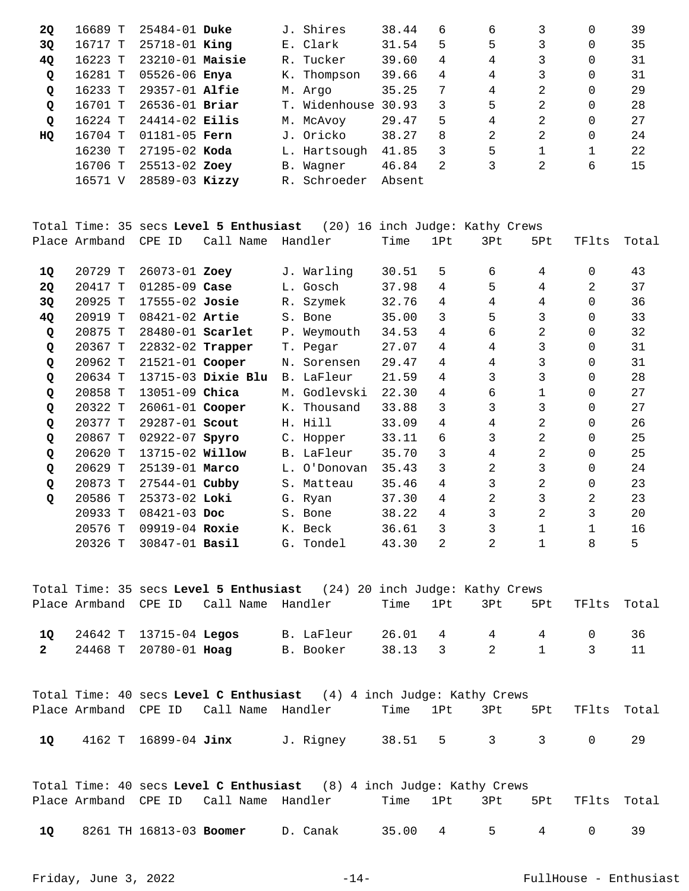| <b>2Q</b>    | 16689 T | $25484 - 01$ Duke  |    | J. Shires           | 38.44  | 6 | 6 | 3 | 0 | 39 |
|--------------|---------|--------------------|----|---------------------|--------|---|---|---|---|----|
| 3Q           | 16717 T | $25718 - 01$ King  |    | E. Clark            | 31.54  | 5 | 5 | 3 | 0 | 35 |
| 4Q           | 16223 T | $23210-01$ Maisie  | R. | Tucker              | 39.60  | 4 | 4 | 3 | 0 | 31 |
| $\mathbf{Q}$ | 16281 T | 05526-06 Enya      |    | K. Thompson         | 39.66  | 4 | 4 | 3 | 0 | 31 |
| Q            | 16233 T | 29357-01 Alfie     |    | M. Argo             | 35.25  | 7 | 4 | 2 | 0 | 29 |
| Q            | 16701 T | $26536 - 01$ Briar |    | T. Widenhouse 30.93 |        | 3 | 5 | 2 | 0 | 28 |
| Q            | 16224 T | $24414 - 02$ Eilis |    | M. McAvoy           | 29.47  | 5 | 4 | 2 | 0 | 27 |
| HQ           | 16704 T | $01181 - 05$ Fern  |    | J. Oricko           | 38.27  | 8 | 2 | 2 | 0 | 24 |
|              | 16230 T | $27195 - 02$ Koda  |    | L. Hartsough        | 41.85  | 3 | 5 |   |   | 22 |
|              | 16706 T | 25513-02 Zoey      |    | B. Wagner           | 46.84  | 2 | 3 | 2 | 6 | 15 |
|              | 16571 V | $28589 - 03$ Kizzy |    | R. Schroeder        | Absent |   |   |   |   |    |

Total Time: 35 secs **Level 5 Enthusiast** (20) 16 inch Judge: Kathy Crews Place Armband CPE ID Call Name Handler Time 1Pt 3Pt 5Pt TFlts Total

| 10        | 20729 T | $26073 - 01$ Zoey      |                    |    | J. Warling  | 30.51 | 5              | 6              | 4 | $\Omega$ | 43 |
|-----------|---------|------------------------|--------------------|----|-------------|-------|----------------|----------------|---|----------|----|
| <b>20</b> | 20417 T | $01285 - 09$ Case      |                    |    | L. Gosch    | 37.98 | 4              | 5              | 4 | 2        | 37 |
| 3Q        | 20925 T | $17555 - 02$ Josie     |                    |    | R. Szymek   | 32.76 | 4              | 4              | 4 | $\Omega$ | 36 |
| 4Q        | 20919 T | $08421 - 02$ Artie     |                    |    | S. Bone     | 35.00 | 3              | 5              | 3 | $\Omega$ | 33 |
| Q         | 20875 T | 28480-01 Scarlet       |                    |    | P. Weymouth | 34.53 | 4              | 6              | 2 | $\Omega$ | 32 |
| Q         | 20367 T | 22832-02 Trapper       |                    |    | T. Pegar    | 27.07 | 4              | 4              | 3 | $\Omega$ | 31 |
| Q         | 20962 T | 21521-01 Cooper        |                    |    | N. Sorensen | 29.47 | 4              | 4              | 3 | $\Omega$ | 31 |
| Q         | 20634 T |                        | 13715-03 Dixie Blu |    | B. LaFleur  | 21.59 | 4              | 3              | 3 | $\Omega$ | 28 |
| Q         | 20858 T | 13051-09 Chica         |                    | М. | Godlevski   | 22.30 | 4              | 6              | 1 | 0        | 27 |
| Q         | 20322 T | 26061-01 Cooper        |                    |    | K. Thousand | 33.88 | 3              | 3              | 3 | 0        | 27 |
| Q         | 20377 T | 29287-01 Scout         |                    |    | H. Hill     | 33.09 | 4              | 4              | 2 | $\Omega$ | 26 |
| Q         | 20867 T | $02922 - 07$ Spyro     |                    |    | C. Hopper   | 33.11 | 6              | 3              | 2 |          | 25 |
| Q         | 20620 T | 13715-02 <b>Willow</b> |                    |    | B. LaFleur  | 35.70 | 3              | 4              | 2 |          | 25 |
| Q         | 20629 T | 25139-01 Marco         |                    | L. | 0'Donovan   | 35.43 | 3              | $\overline{2}$ | 3 | $\Omega$ | 24 |
| Q         | 20873 T | $27544 - 01$ Cubby     |                    |    | S. Matteau  | 35.46 | 4              | 3              | 2 | $\Omega$ | 23 |
| Q         | 20586 T | 25373-02 Loki          |                    |    | G. Ryan     | 37.30 | 4              | 2              | 3 | 2        | 23 |
|           | 20933 T | $08421 - 03$ Doc       |                    |    | S. Bone     | 38.22 | 4              | 3              | 2 | 3        | 20 |
|           | 20576 T | $09919 - 04$ Roxie     |                    |    | K. Beck     | 36.61 | 3              | 3              |   |          | 16 |
|           | 20326 T | 30847-01 Basil         |                    |    | G. Tondel   | 43.30 | $\mathfrak{D}$ | $\mathfrak{D}$ |   | 8        | 5  |

|                           | Total Time: 35 secs Level 5 Enthusiast (24) 20 inch Judge: Kathy Crews |            |  |              |             |                  |     |
|---------------------------|------------------------------------------------------------------------|------------|--|--------------|-------------|------------------|-----|
|                           | Place Armband CPE ID Call Name Handler                                 |            |  | Time 1Pt 3Pt | 5Pt         | TFlts Total      |     |
| 10 24642 T 13715-04 Legos |                                                                        | B. LaFleur |  |              | 26.01 4 4 4 | $\cap$           | -36 |
| 2 24468 T 20780-01 Hoag   |                                                                        | B. Booker  |  |              |             | 38.13 3 2 1 3 11 |     |

|    |                      |                                        | Total Time: 40 secs Level C Enthusiast (4) 4 inch Judge: Kathy Crews |                              |  |  |  |
|----|----------------------|----------------------------------------|----------------------------------------------------------------------|------------------------------|--|--|--|
|    |                      | Place Armband CPE ID Call Name Handler |                                                                      | Time 1Pt 3Pt 5Pt TFlts Total |  |  |  |
| 10 | 4162 T 16899-04 Jinx |                                        | J. Rigney                                                            | 38.51 5 3 3                  |  |  |  |

|      |                         |                                        | Total Time: 40 secs Level C Enthusiast (8) 4 inch Judge: Kathy Crews |             |  |                              |  |
|------|-------------------------|----------------------------------------|----------------------------------------------------------------------|-------------|--|------------------------------|--|
|      |                         | Place Armband CPE ID Call Name Handler |                                                                      |             |  | Time 1Pt 3Pt 5Pt TFlts Total |  |
| - 10 | 8261 TH 16813-03 Boomer |                                        | D. Canak                                                             | 35.00 4 5 4 |  |                              |  |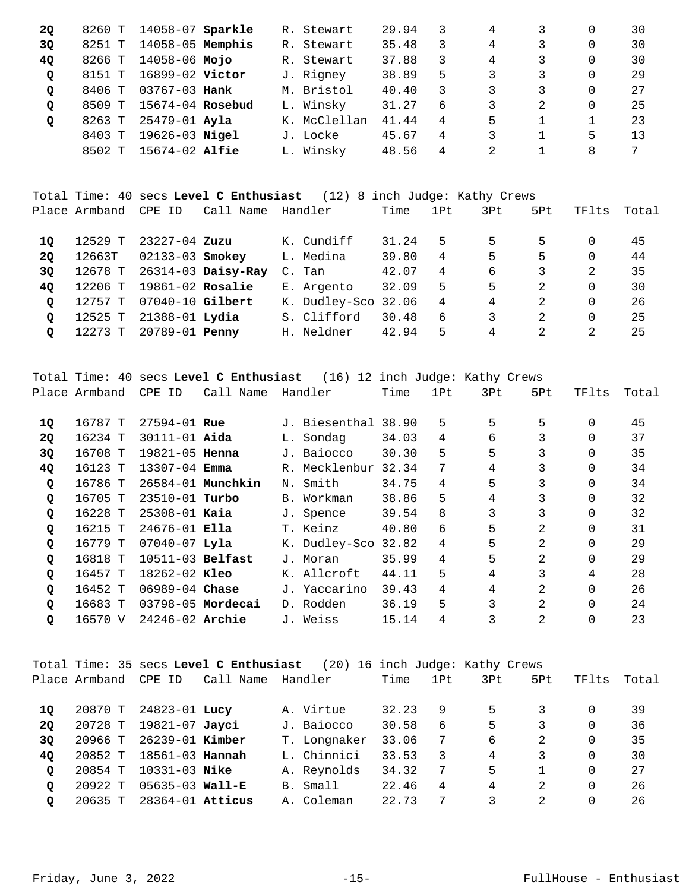| <b>2Q</b> |        | 8260 T 14058-07 Sparkle |  | R. Stewart   | 29.94 |   | 4              |   | 0 | 30 |
|-----------|--------|-------------------------|--|--------------|-------|---|----------------|---|---|----|
| 3Q        | 8251 T | 14058-05 Memphis        |  | R. Stewart   | 35.48 | 3 | 4              |   | 0 | 30 |
| <b>40</b> |        | 8266 T 14058-06 Mojo    |  | R. Stewart   | 37.88 | 3 | 4              |   | 0 | 30 |
| Q         | 8151 T | 16899-02 Victor         |  | J. Rigney    | 38.89 | 5 | 3              | 3 | 0 | 29 |
| Q         | 8406 T | 03767-03 <b>Hank</b>    |  | M. Bristol   | 40.40 | 3 | 3              | 3 | 0 | 27 |
| Q         | 8509 T | 15674-04 Rosebud        |  | L. Winsky    | 31.27 | 6 | 3              | 2 | 0 | 25 |
| Q         | 8263 T | 25479-01 Ayla           |  | K. McClellan | 41.44 | 4 | 5              |   |   | 23 |
|           | 8403 T | 19626-03 Nigel          |  | J. Locke     | 45.67 | 4 | 3              |   | 5 | 13 |
|           | 8502 T | $15674-02$ Alfie        |  | L. Winsky    | 48.56 | 4 | $\mathfrak{D}$ |   | 8 |    |

Total Time: 40 secs **Level C Enthusiast** (12) 8 inch Judge: Kathy Crews Place Armband CPE ID Call Name Handler Time 1Pt 3Pt 5Pt TFlts Total

| 10      | 12529 T | 23227-04 Zuzu      |                    | K. Cundiff          | 31.24 | 5. | 5  | 5. |          | 45  |
|---------|---------|--------------------|--------------------|---------------------|-------|----|----|----|----------|-----|
| 20      | 12663T  | 02133-03 Smokey    |                    | L. Medina           | 39.80 | 4  | 5. | 5  |          | 44  |
| 30      | 12678 T |                    | 26314-03 Daisy-Ray | C. Tan              | 42.07 | 4  | 6  |    |          | 35  |
| 40      | 12206 T | $19861-02$ Rosalie |                    | E. Argento          | 32.09 | 5  | 5  |    |          | 30  |
| $\circ$ | 12757 T | 07040-10 Gilbert   |                    | K. Dudley-Sco 32.06 |       | 4  | 4  |    |          | -26 |
| $\circ$ | 12525 T | 21388-01 Lydia     |                    | S. Clifford         | 30.48 | 6  | 3  |    | $\Omega$ | 25  |
| O       | 12273 T | 20789-01 Penny     |                    | H. Neldner          | 42.94 | 5. | 4  |    |          | 25  |

Total Time: 40 secs **Level C Enthusiast** (16) 12 inch Judge: Kathy Crews Place Armband CPE ID Call Name Handler Time 1Pt 3Pt 5Pt TFlts Total 10 16787 T 27594-01 **Rue** J. Biesenthal 38.90 5 5 5 0 45

| TÕ.         | TP / Q / T. | 27594-01 <b>Rue</b>   |                   | J. Blesentnal 38.90 |       |    | כ | כ              | U        | 45 |
|-------------|-------------|-----------------------|-------------------|---------------------|-------|----|---|----------------|----------|----|
| <b>20</b>   | 16234 T     | 30111-01 <b>Aida</b>  |                   | L. Sondag           | 34.03 | 4  | 6 |                | 0        | 37 |
| 3Q          | 16708 T     | 19821-05 <b>Henna</b> |                   | J. Baiocco          | 30.30 | 5  | 5 |                | 0        | 35 |
| 4Q          | 16123 T     | $13307 - 04$ Emma     |                   | R. Mecklenbur       | 32.34 | 7  | 4 |                | $\Omega$ | 34 |
| $\mathbf Q$ | 16786 T     |                       | 26584-01 Munchkin | N. Smith            | 34.75 | 4  | 5 | 3              | $\Omega$ | 34 |
| $\mathbf Q$ | 16705 T     | 23510-01 Turbo        |                   | B. Workman          | 38.86 | 5  | 4 | 3              | 0        | 32 |
| Q           | 16228 T     | $25308 - 01$ Kaia     |                   | J. Spence           | 39.54 | 8  | 3 | 3              | $\Omega$ | 32 |
| Q           | 16215 T     | $24676 - 01$ Ella     |                   | T. Keinz            | 40.80 | 6  | 5 | $\mathfrak{D}$ | 0        | 31 |
| Q           | 16779 T     | $07040 - 07$ Lyla     |                   | K. Dudley-Sco 32.82 |       | 4  | 5 | $\mathfrak{D}$ | $\Omega$ | 29 |
| $\mathbf Q$ | 16818 T     | $10511-03$ Belfast    |                   | J. Moran            | 35.99 | 4  | 5 | $\mathfrak{D}$ | 0        | 29 |
| Q           | 16457 T     | 18262-02 <b>Kleo</b>  |                   | K. Allcroft         | 44.11 | 5  | 4 | 3              | 4        | 28 |
| Q           | 16452 T     | $06989 - 04$ Chase    |                   | J. Yaccarino        | 39.43 | 4  | 4 | 2              | 0        | 26 |
| Q           | 16683 T     |                       | 03798-05 Mordecai | D. Rodden           | 36.19 | 5. | 3 | $\mathcal{L}$  | $\Omega$ | 24 |
| Q           | 16570 V     | 24246-02 Archie       |                   | J. Weiss            | 15.14 | 4  |   | $\mathcal{L}$  |          | 23 |
|             |             |                       |                   |                     |       |    |   |                |          |    |

|           |               |                        | Total Time: 35 secs Level C Enthusiast |              |       |     | (20) 16 inch Judge: Kathy Crews |                |          |       |
|-----------|---------------|------------------------|----------------------------------------|--------------|-------|-----|---------------------------------|----------------|----------|-------|
|           | Place Armband | CPE ID                 | Call Name                              | Handler      | Time  | 1Pt | 3Pt                             | 5Pt            | TFlts    | Total |
| 10        | 20870 T       | 24823-01 Lucy          |                                        | A. Virtue    | 32.23 | 9   | 5                               |                | 0        | 39    |
| <b>20</b> | 20728 T       | 19821-07 Javci         |                                        | J. Baiocco   | 30.58 | 6   | 5                               | 3              | $\Omega$ | 36    |
| 3Q        | 20966 T       | 26239-01 Kimber        |                                        | T. Longnaker | 33.06 | - 7 | 6                               | 2              | $\Omega$ | 35    |
| 4Q        | 20852 T       | 18561-03 <b>Hannah</b> |                                        | L. Chinnici  | 33.53 | 3   | 4                               | 3              | $\Omega$ | 30    |
| Q         | 20854 T       | 10331-03 Nike          |                                        | A. Reynolds  | 34.32 | -7  | 5                               |                | 0        | 27    |
| Q         | 20922 T       | $05635 - 03$ Wall-E    |                                        | B. Small     | 22.46 | 4   | 4                               | 2              | 0        | 26    |
| $\circ$   | 20635 T       | $28364 - 01$ Atticus   |                                        | A. Coleman   | 22.73 | 7   |                                 | $\mathfrak{D}$ |          | 26    |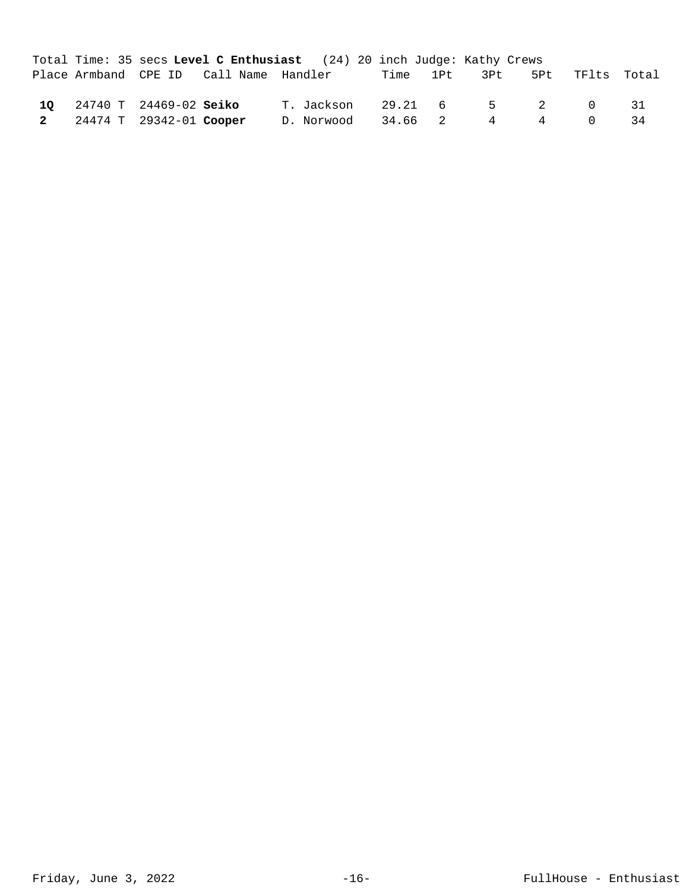|                           | Total Time: 35 secs Level C Enthusiast (24) 20 inch Judge: Kathy Crews |  |  |  |                        |                               |    |
|---------------------------|------------------------------------------------------------------------|--|--|--|------------------------|-------------------------------|----|
|                           | Place Armband CPE ID Call Name Handler Time 1Pt 3Pt 5Pt TFlts Total    |  |  |  |                        |                               |    |
| 10 24740 T 24469-02 Seiko |                                                                        |  |  |  |                        | T. Jackson  29.21  6  5  2  0 | 31 |
| 2 24474 T 29342-01 Cooper |                                                                        |  |  |  | D. Norwood 34.66 2 4 4 | $\bigcap$                     | 34 |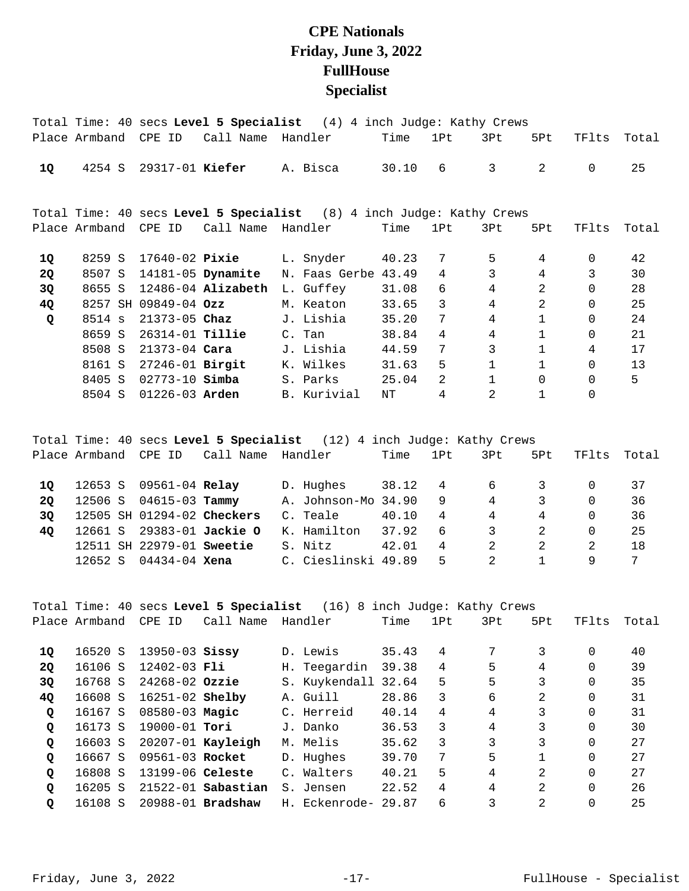## **CPE Nationals Friday, June 3, 2022 FullHouse Specialist**

|           |               |                        |                        | Total Time: 40 secs Level 5 Specialist (4) 4 inch Judge: Kathy Crews |       |                |                |                |          |       |
|-----------|---------------|------------------------|------------------------|----------------------------------------------------------------------|-------|----------------|----------------|----------------|----------|-------|
|           | Place Armband | CPE ID                 | Call Name              | Handler                                                              | Time  | 1Pt            | 3Pt            | 5Pt            | TFlts    | Total |
| 1Q        | 4254 S        | 29317-01 Kiefer        |                        | A. Bisca                                                             | 30.10 | 6              | 3              | 2              | $\Omega$ | 25    |
|           |               |                        |                        | Total Time: 40 secs Level 5 Specialist (8) 4 inch Judge: Kathy Crews |       |                |                |                |          |       |
|           | Place Armband | CPE ID                 | Call Name              | Handler                                                              | Time  | 1Pt            | 3Pt            | 5Pt            | TFlts    | Total |
| 1Q        | 8259 S        | 17640-02 Pixie         |                        | L. Snyder                                                            | 40.23 | 7              | 5              | 4              | 0        | 42    |
| <b>2Q</b> | 8507 S        |                        | 14181-05 Dynamite      | N. Faas Gerbe                                                        | 43.49 | 4              | 3              | 4              | 3        | 30    |
| 3Q        | 8655 S        |                        | $12486 - 04$ Alizabeth | L. Guffey                                                            | 31.08 | 6              | $\overline{4}$ | $\overline{2}$ | $\Omega$ | 28    |
| 4Q        | 8257 SH       | $09849 - 04$ Ozz       |                        | M. Keaton                                                            | 33.65 | 3              | $\overline{4}$ | $\overline{2}$ | 0        | 25    |
| Q         | 8514 s        | $21373 - 05$ Chaz      |                        | J. Lishia                                                            | 35.20 | 7              | $\overline{4}$ | 1              | 0        | 24    |
|           | 8659 S        | 26314-01 <b>Tillie</b> |                        | C. Tan                                                               | 38.84 | 4              | $\overline{4}$ | $\mathbf{1}$   | $\Omega$ | 21    |
|           | 8508 S        | $21373 - 04$ Cara      |                        | J. Lishia                                                            | 44.59 | 7              | 3              | $\mathbf{1}$   | 4        | 17    |
|           | 8161 S        | 27246-01 Birgit        |                        | K. Wilkes                                                            | 31.63 | 5              |                | $\mathbf{1}$   | $\Omega$ | 13    |
|           | 8405 S        | $02773 - 10$ Simba     |                        | S. Parks                                                             | 25.04 | $\mathfrak{D}$ |                | $\Omega$       | 0        | 5     |
|           | 8504 S        | $01226 - 03$ Arden     |                        | B. Kurivial                                                          | NΤ    | 4              | $\mathfrak{D}$ |                | 0        |       |

Total Time: 40 secs **Level 5 Specialist** (12) 4 inch Judge: Kathy Crews Place Armband CPE ID Call Name Handler Time 1Pt 3Pt 5Pt TFlts Total

| 10 |         | 12653 S 09561-04 Relay     |  | D. Hughes           | 38.12 | $4\overline{4}$ | $6\overline{6}$ | $\overline{\mathbf{3}}$ |    | 37 |
|----|---------|----------------------------|--|---------------------|-------|-----------------|-----------------|-------------------------|----|----|
| 20 | 12506 S | 04615-03 <b>Tammy</b>      |  | A. Johnson-Mo 34.90 |       | 9               | $4\degree$      | 3                       |    | 36 |
| 30 |         | 12505 SH 01294-02 Checkers |  | C. Teale            | 40.10 | 4               | 4               | 4                       |    | 36 |
| 40 |         | 12661 S 29383-01 Jackie O  |  | K. Hamilton 37.92   |       | 6               | 3               | 2                       |    | 25 |
|    |         | 12511 SH 22979-01 Sweetie  |  | S. Nitz             | 42.01 | 4               | 2               | 2                       |    | 18 |
|    | 12652 S | 04434-04 <b>Xena</b>       |  | C. Cieslinski 49.89 |       | 5.              | 2               |                         | Q. | 7  |

Total Time: 40 secs **Level 5 Specialist** (16) 8 inch Judge: Kathy Crews Place Armband CPE ID Call Name Handler Time 1Pt 3Pt 5Pt TFlts Total 16520 S 13950-03 D. Lewis 35.43 4 7 3 0 40 **1Q Sissy**  16106 S 12402-03 H. Teegardin 39.38 4 5 4 0 39 **2Q Fli**  16768 S 24268-02 S. Kuykendall 32.64 5 5 3 0 35 **3Q Ozzie**  16608 S 16251-02 A. Guill 28.86 3 6 2 0 31 **4Q Shelby**  16167 S 08580-03 C. Herreid 40.14 4 4 3 0 31 **Q Magic**  16173 S 19000-01 J. Danko 36.53 3 4 3 0 30 **Q Tori**  16603 S 20207-01 M. Melis 35.62 3 3 3 0 27 **Q Kayleigh**  16667 S 09561-03 D. Hughes 39.70 7 5 1 0 27 **Q Rocket**  16808 S 13199-06 C. Walters 40.21 5 4 2 0 27 **Q Celeste Q** 16205 S 21522-01 **Sabastian** S. Jensen 22.52 4 4 2 0 26<br>**O** 16108 S 20988-01 **Bradshaw** H. Eckenrode- 29.87 6 3 2 0 25 16108 S 20988-01 H. Eckenrode- 29.87 6 3 2 0 25 **Q Bradshaw**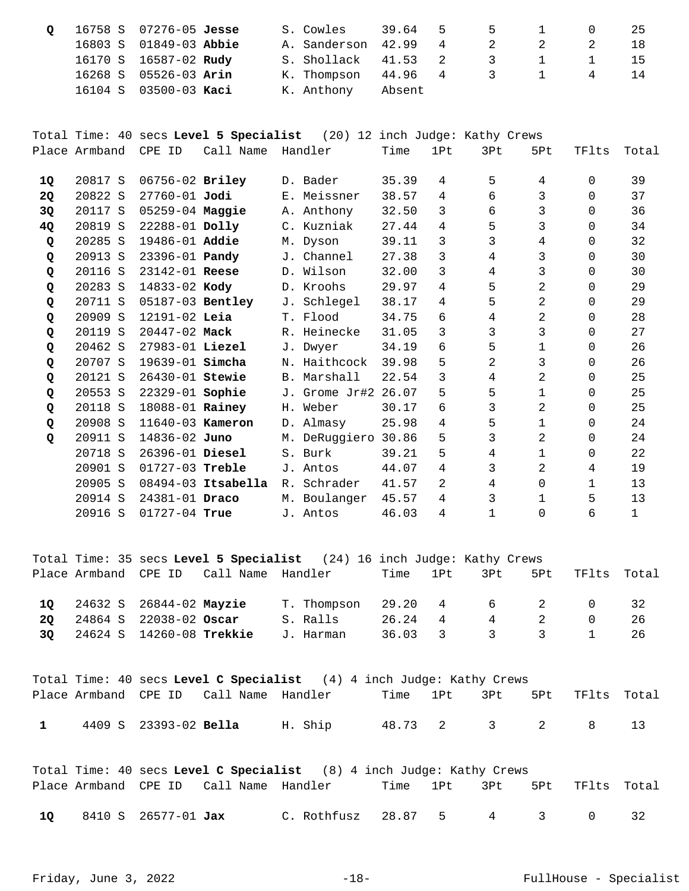| Q 16758 S 07276-05 Jesse |                        |  | S. Cowles 39.64 5 5 1 0    |        |  |  | - 25  |
|--------------------------|------------------------|--|----------------------------|--------|--|--|-------|
|                          | 16803 S 01849-03 Abbie |  | A. Sanderson 42.99 4 2 2 2 |        |  |  | - 1.8 |
|                          | 16170 S 16587-02 Rudy  |  | S. Shollack 41.53 2 3 1 1  |        |  |  | $-15$ |
|                          | 16268 S 05526-03 Arin  |  | K. Thompson 44.96 4 3 1 4  |        |  |  |       |
|                          | 16104 S 03500-03 Kaci  |  | K. Anthony                 | Absent |  |  |       |

Total Time: 40 secs **Level 5 Specialist** (20) 12 inch Judge: Kathy Crews Place Armband CPE ID Call Name Handler Time 1Pt 3Pt 5Pt TFlts Total

| 10        | 20817 S | 06756-02 Briley       |                      |             | D. Bader      | 35.39 | 4  | 5  | $\overline{4}$ | $\Omega$     | 39          |
|-----------|---------|-----------------------|----------------------|-------------|---------------|-------|----|----|----------------|--------------|-------------|
| <b>20</b> | 20822 S | 27760-01 Jodi         |                      |             | E. Meissner   | 38.57 | 4  | б. | 3              | $\Omega$     | 37          |
| 3Q        | 20117 S | 05259-04 Maggie       |                      |             | A. Anthony    | 32.50 | 3  | 6  | 3              | $\Omega$     | 36          |
| 4Q        | 20819 S | 22288-01 Dolly        |                      |             | C. Kuzniak    | 27.44 | 4  | 5  | 3              | $\Omega$     | 34          |
| Q         | 20285 S | 19486-01 Addie        |                      |             | M. Dyson      | 39.11 | 3  | 3  | 4              | $\Omega$     | 32          |
| Q         | 20913 S | 23396-01 <b>Pandy</b> |                      | J.,         | Channel       | 27.38 | 3  | 4  | 3              | 0            | 30          |
| Q         | 20116 S | 23142-01 Reese        |                      |             | D. Wilson     | 32.00 | 3  | 4  | 3              | $\Omega$     | 30          |
| Q         | 20283 S | 14833-02 Kody         |                      |             | D. Kroohs     | 29.97 | 4  | 5  | 2              | $\Omega$     | 29          |
| Q         | 20711 S | 05187-03 Bentley      |                      |             | J. Schlegel   | 38.17 | 4  | 5  | $\overline{2}$ | $\Omega$     | 29          |
| Q         | 20909 S | $12191 - 02$ Leia     |                      |             | T. Flood      | 34.75 | 6  | 4  | $\overline{2}$ | $\Omega$     | 28          |
| Q         | 20119 S | $20447 - 02$ Mack     |                      |             | R. Heinecke   | 31.05 | 3  | 3  | 3              | $\Omega$     | 27          |
| Q         | 20462 S | $27983 - 01$ Liezel   |                      |             | J. Dwyer      | 34.19 | 6  | 5  | $\mathbf{1}$   | $\Omega$     | 26          |
| Q         | 20707 S | 19639-01 simcha       |                      |             | N. Haithcock  | 39.98 | 5  | 2  | 3              | 0            | 26          |
| Q         | 20121 S | $26430 - 01$ Stewie   |                      |             | B. Marshall   | 22.54 | 3  | 4  | 2              | $\Omega$     | 25          |
| Q         | 20553 S | 22329-01 Sophie       |                      |             | J. Grome Jr#2 | 26.07 | 5  | 5  | $\mathbf 1$    | $\Omega$     | 25          |
| Q         | 20118 S | 18088-01 Rainey       |                      |             | H. Weber      | 30.17 | 6  | 3  | 2              | $\Omega$     | 25          |
| Q         | 20908 S | 11640-03 Kameron      |                      |             | D. Almasy     | 25.98 | 4  | 5  | $\mathbf{1}$   | $\Omega$     | 24          |
| Q         | 20911 S | 14836-02 Juno         |                      |             | M. DeRuggiero | 30.86 | 5  | 3  | 2              | $\Omega$     | 24          |
|           | 20718 S | 26396-01 Diesel       |                      |             | S. Burk       | 39.21 | 5  | 4  | $\mathbf{1}$   | 0            | 22          |
|           | 20901 S | 01727-03 Treble       |                      | J.          | Antos         | 44.07 | 4  | 3  | 2              | 4            | 19          |
|           | 20905 S |                       | $08494-03$ Itsabella | $R_{\odot}$ | Schrader      | 41.57 | 2. | 4  | $\Omega$       | $\mathbf{1}$ | 13          |
|           | 20914 S | $24381 - 01$ Draco    |                      | М.          | Boulanger     | 45.57 | 4  | 3  | 1              | 5            | 13          |
|           | 20916 S | $01727 - 04$ True     |                      |             | J. Antos      | 46.03 | 4  | 1  | $\Omega$       | 6            | $\mathbf 1$ |
|           |         |                       |                      |             |               |       |    |    |                |              |             |

Total Time: 35 secs **Level 5 Specialist** (24) 16 inch Judge: Kathy Crews Place Armband CPE ID Call Name Handler Time 1Pt 3Pt 5Pt TFlts Total 24632 S 26844-02 T. Thompson 29.20 4 6 2 0 32 **1Q Mayzie**  24864 S 22038-02 S. Ralls 26.24 4 4 2 0 26 **2Q Oscar**  24624 S 14260-08 J. Harman 36.03 3 3 3 1 26 **3Q Trekkie** 

|              |                              |                                        | Total Time: 40 secs Level C Specialist $(4)$ 4 inch Judge: Kathy Crews |  |  |                              |  |
|--------------|------------------------------|----------------------------------------|------------------------------------------------------------------------|--|--|------------------------------|--|
|              |                              | Place Armband CPE ID Call Name Handler |                                                                        |  |  | Time 1Pt 3Pt 5Pt TFlts Total |  |
| $\mathbf{1}$ | 4409 S 23393-02 <b>Bella</b> |                                        | H. Ship                                                                |  |  | 48.73 2 3 2 8 13             |  |

|    |                            |                                        | Total Time: 40 secs Level C Specialist (8) 4 inch Judge: Kathy Crews |  |  |                              |  |
|----|----------------------------|----------------------------------------|----------------------------------------------------------------------|--|--|------------------------------|--|
|    |                            | Place Armband CPE ID Call Name Handler |                                                                      |  |  | Time 1Pt 3Pt 5Pt TFlts Total |  |
| 10 | 8410 S 26577-01 <b>Jax</b> |                                        | C. Rothfusz 28.87 5 4 3                                              |  |  |                              |  |